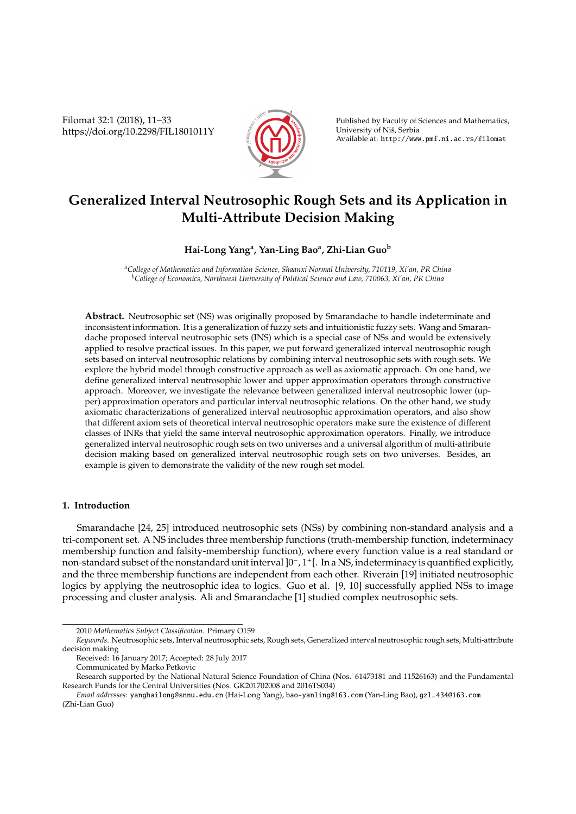Filomat 32:1 (2018), 11–33 https://doi.org/10.2298/FIL1801011Y



Published by Faculty of Sciences and Mathematics, University of Nis, Serbia ˇ Available at: http://www.pmf.ni.ac.rs/filomat

# **Generalized Interval Neutrosophic Rough Sets and its Application in Multi-Attribute Decision Making**

# **Hai-Long Yang<sup>a</sup> , Yan-Ling Bao<sup>a</sup> , Zhi-Lian Guo<sup>b</sup>**

*<sup>a</sup>College of Mathematics and Information Science, Shaanxi Normal University, 710119, Xi'an, PR China <sup>b</sup>College of Economics, Northwest University of Political Science and Law, 710063, Xi'an, PR China*

**Abstract.** Neutrosophic set (NS) was originally proposed by Smarandache to handle indeterminate and inconsistent information. It is a generalization of fuzzy sets and intuitionistic fuzzy sets. Wang and Smarandache proposed interval neutrosophic sets (INS) which is a special case of NSs and would be extensively applied to resolve practical issues. In this paper, we put forward generalized interval neutrosophic rough sets based on interval neutrosophic relations by combining interval neutrosophic sets with rough sets. We explore the hybrid model through constructive approach as well as axiomatic approach. On one hand, we define generalized interval neutrosophic lower and upper approximation operators through constructive approach. Moreover, we investigate the relevance between generalized interval neutrosophic lower (upper) approximation operators and particular interval neutrosophic relations. On the other hand, we study axiomatic characterizations of generalized interval neutrosophic approximation operators, and also show that different axiom sets of theoretical interval neutrosophic operators make sure the existence of different classes of INRs that yield the same interval neutrosophic approximation operators. Finally, we introduce generalized interval neutrosophic rough sets on two universes and a universal algorithm of multi-attribute decision making based on generalized interval neutrosophic rough sets on two universes. Besides, an example is given to demonstrate the validity of the new rough set model.

# **1. Introduction**

Smarandache [24, 25] introduced neutrosophic sets (NSs) by combining non-standard analysis and a tri-component set. A NS includes three membership functions (truth-membership function, indeterminacy membership function and falsity-membership function), where every function value is a real standard or non-standard subset of the nonstandard unit interval ]0<sup>−</sup> , 1 + [. In a NS, indeterminacy is quantified explicitly, and the three membership functions are independent from each other. Riverain [19] initiated neutrosophic logics by applying the neutrosophic idea to logics. Guo et al. [9, 10] successfully applied NSs to image processing and cluster analysis. Ali and Smarandache [1] studied complex neutrosophic sets.

<sup>2010</sup> *Mathematics Subject Classification*. Primary O159

*Keywords*. Neutrosophic sets, Interval neutrosophic sets, Rough sets, Generalized interval neutrosophic rough sets, Multi-attribute decision making

Received: 16 January 2017; Accepted: 28 July 2017

Communicated by Marko Petkovic

Research supported by the National Natural Science Foundation of China (Nos. 61473181 and 11526163) and the Fundamental Research Funds for the Central Universities (Nos. GK201702008 and 2016TS034)

*Email addresses:* yanghailong@snnu.edu.cn (Hai-Long Yang), bao-yanling@163.com (Yan-Ling Bao), gzl−434@163.com (Zhi-Lian Guo)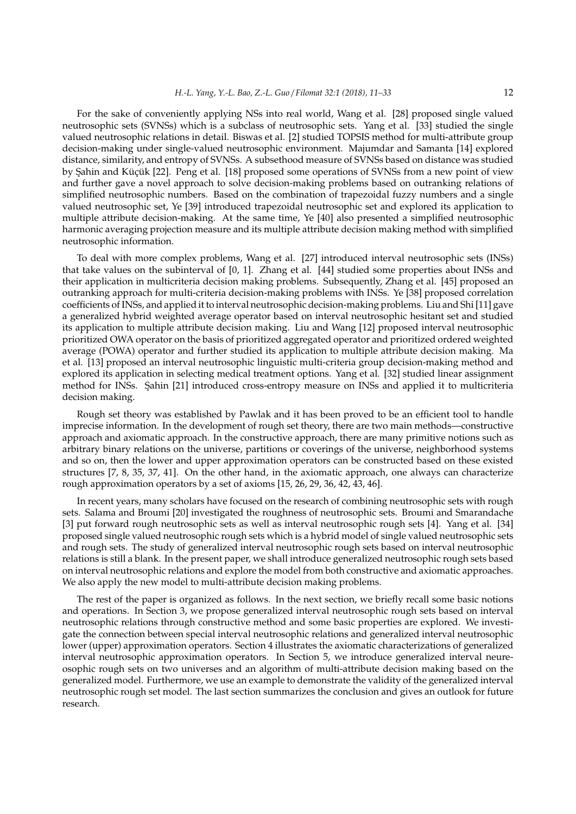For the sake of conveniently applying NSs into real world, Wang et al. [28] proposed single valued neutrosophic sets (SVNSs) which is a subclass of neutrosophic sets. Yang et al. [33] studied the single valued neutrosophic relations in detail. Biswas et al. [2] studied TOPSIS method for multi-attribute group decision-making under single-valued neutrosophic environment. Majumdar and Samanta [14] explored distance, similarity, and entropy of SVNSs. A subsethood measure of SVNSs based on distance was studied by Şahin and Küçük [22]. Peng et al. [18] proposed some operations of SVNSs from a new point of view and further gave a novel approach to solve decision-making problems based on outranking relations of simplified neutrosophic numbers. Based on the combination of trapezoidal fuzzy numbers and a single valued neutrosophic set, Ye [39] introduced trapezoidal neutrosophic set and explored its application to multiple attribute decision-making. At the same time, Ye [40] also presented a simplified neutrosophic harmonic averaging projection measure and its multiple attribute decision making method with simplified neutrosophic information.

To deal with more complex problems, Wang et al. [27] introduced interval neutrosophic sets (INSs) that take values on the subinterval of [0, 1]. Zhang et al. [44] studied some properties about INSs and their application in multicriteria decision making problems. Subsequently, Zhang et al. [45] proposed an outranking approach for multi-criteria decision-making problems with INSs. Ye [38] proposed correlation coefficients of INSs, and applied it to interval neutrosophic decision-making problems. Liu and Shi [11] gave a generalized hybrid weighted average operator based on interval neutrosophic hesitant set and studied its application to multiple attribute decision making. Liu and Wang [12] proposed interval neutrosophic prioritized OWA operator on the basis of prioritized aggregated operator and prioritized ordered weighted average (POWA) operator and further studied its application to multiple attribute decision making. Ma et al. [13] proposed an interval neutrosophic linguistic multi-criteria group decision-making method and explored its application in selecting medical treatment options. Yang et al. [32] studied linear assignment method for INSs. Sahin [21] introduced cross-entropy measure on INSs and applied it to multicriteria decision making.

Rough set theory was established by Pawlak and it has been proved to be an efficient tool to handle imprecise information. In the development of rough set theory, there are two main methods—constructive approach and axiomatic approach. In the constructive approach, there are many primitive notions such as arbitrary binary relations on the universe, partitions or coverings of the universe, neighborhood systems and so on, then the lower and upper approximation operators can be constructed based on these existed structures [7, 8, 35, 37, 41]. On the other hand, in the axiomatic approach, one always can characterize rough approximation operators by a set of axioms [15, 26, 29, 36, 42, 43, 46].

In recent years, many scholars have focused on the research of combining neutrosophic sets with rough sets. Salama and Broumi [20] investigated the roughness of neutrosophic sets. Broumi and Smarandache [3] put forward rough neutrosophic sets as well as interval neutrosophic rough sets [4]. Yang et al. [34] proposed single valued neutrosophic rough sets which is a hybrid model of single valued neutrosophic sets and rough sets. The study of generalized interval neutrosophic rough sets based on interval neutrosophic relations is still a blank. In the present paper, we shall introduce generalized neutrosophic rough sets based on interval neutrosophic relations and explore the model from both constructive and axiomatic approaches. We also apply the new model to multi-attribute decision making problems.

The rest of the paper is organized as follows. In the next section, we briefly recall some basic notions and operations. In Section 3, we propose generalized interval neutrosophic rough sets based on interval neutrosophic relations through constructive method and some basic properties are explored. We investigate the connection between special interval neutrosophic relations and generalized interval neutrosophic lower (upper) approximation operators. Section 4 illustrates the axiomatic characterizations of generalized interval neutrosophic approximation operators. In Section 5, we introduce generalized interval neureosophic rough sets on two universes and an algorithm of multi-attribute decision making based on the generalized model. Furthermore, we use an example to demonstrate the validity of the generalized interval neutrosophic rough set model. The last section summarizes the conclusion and gives an outlook for future research.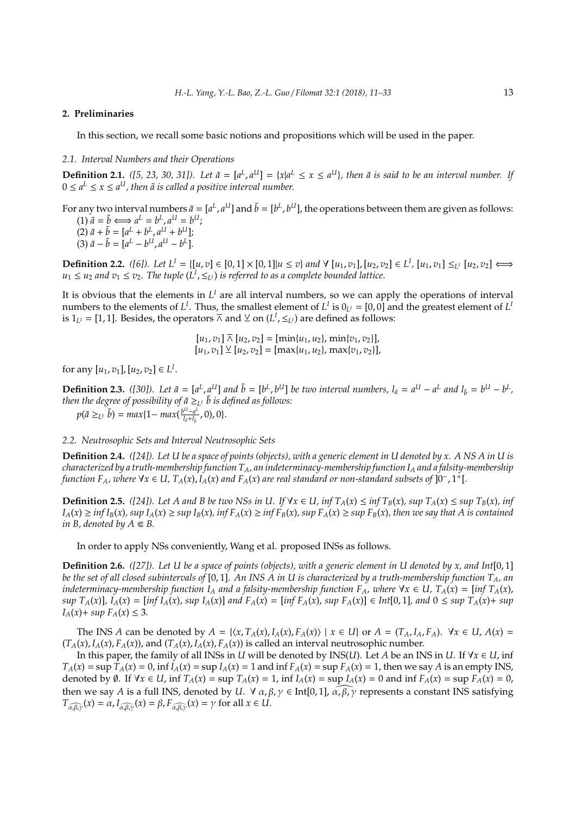#### **2. Preliminaries**

In this section, we recall some basic notions and propositions which will be used in the paper.

#### *2.1. Interval Numbers and their Operations*

**Definition 2.1.** ([5, 23, 30, 31]). Let  $\tilde{a} = [a^L, a^U] = \{x | a^L \le x \le a^U\}$ , then  $\tilde{a}$  is said to be an interval number. If  $0 \le a^L \le x \le a^U$ , then  $\tilde{a}$  is called a positive interval number.

For any two interval numbers  $\tilde{a} = [a^L, a^U]$  and  $\tilde{b} = [b^L, b^U]$ , the operations between them are given as follows:  $(1) \tilde{a} = \tilde{b} \Longleftrightarrow a^L = b^L, a^U = b^U;$  $(2) \tilde{a} + \tilde{b} = [a^L + b^L, a^U + b^U];$  $(3) \tilde{a} - \tilde{b} = [a^L - b^U, a^U - b^L].$ 

**Definition 2.2.** ([6]). Let  $L^I = \{ [u, v] \in [0, 1] \times [0, 1] | u \le v \}$  and  $\forall [u_1, v_1], [u_2, v_2] \in L^I$ ,  $[u_1, v_1] \le u_2, v_2 \}$  ⇔  $u_1 \le u_2$  *and*  $v_1 \le v_2$ . The tuple  $(L^I, \leq_{L^I})$  is referred to as a complete bounded lattice.

It is obvious that the elements in  $L^I$  are all interval numbers, so we can apply the operations of interval numbers to the elements of  $L^I$ . Thus, the smallest element of  $L^I$  is  $0_{L^I} = [0,0]$  and the greatest element of  $L^I$ is  $1_{L^1} = [1, 1]$ . Besides, the operators  $\overline{\wedge}$  and  $\underline{\vee}$  on  $(L^I, \leq_{L^I})$  are defined as follows:

$$
[u_1, v_1] \overline{\wedge} [u_2, v_2] = [\min\{u_1, u_2\}, \min\{v_1, v_2\}],
$$
  

$$
[u_1, v_1] \vee [u_2, v_2] = [\max\{u_1, u_2\}, \max\{v_1, v_2\}],
$$

for any  $[u_1, v_1], [u_2, v_2] \in L^I$ .

**Definition 2.3.** ([30]). Let  $\tilde{a} = [a^L, a^U]$  and  $\tilde{b} = [b^L, b^U]$  be two interval numbers,  $l_{\tilde{a}} = a^U - a^L$  and  $l_{\tilde{b}} = b^U - b^L$ , then the degree of possibility of  $\tilde{a} \geq_{L^I} \tilde{b}$  is defined as follows:  $p(\tilde{a} \geq_{L^I} \tilde{b}) = max\{1 - max(\frac{b^U - a^L}{l_{\tilde{a}} + l_{\tilde{b}}})\}$  $\frac{d^{U}-a^{L}}{l_{a}+l_{\tilde{b}}}$ , 0), 0}.

*2.2. Neutrosophic Sets and Interval Neutrosophic Sets*

**Definition 2.4.** *([24]). Let U be a space of points (objects), with a generic element in U denoted by x. A NS A in U is characterized by a truth-membership function TA, an indeterminacy-membership function I<sup>A</sup> and a falsity-membership function F<sub>A</sub>*, where ∀ $x \in U$ , T<sub>A</sub>(x), I<sub>A</sub>(x) and F<sub>A</sub>(x) are real standard or non-standard subsets of  $]0^-$ , 1<sup>+</sup>[.

**Definition 2.5.** ([24]). Let A and B be two NSs in U. If  $\forall x \in U$ , inf  $T_A(x) \le \inf T_B(x)$ , sup  $T_A(x) \le \sup T_B(x)$ , inf  $I_A(x) \ge \inf I_B(x)$ , sup  $I_A(x) \ge \sup I_B(x)$ ,  $\inf F_A(x) \ge \inf F_B(x)$ , sup  $F_A(x) \ge \sup F_B(x)$ , then we say that A is contained *in B, denoted by*  $A \subseteq B$ .

In order to apply NSs conveniently, Wang et al. proposed INSs as follows.

**Definition 2.6.** *([27]). Let U be a space of points (objects), with a generic element in U denoted by x, and Int*[0, 1] *be the set of all closed subintervals of* [0, 1]*. An INS A in U is characterized by a truth-membership function TA, an indeterminacy-membership function*  $I_A$  *and a falsity-membership function*  $F_A$ *, where*  $\forall x \in U$ ,  $T_A(x) = \int \inf T_A(x)$ , sup  $T_A(x)$ ,  $I_A(x) = \left[ \inf I_A(x)$ , sup  $I_A(x) \right]$  and  $F_A(x) = \left[ \inf F_A(x)$ , sup  $F_A(x) \right] \in Int[0,1]$ , and  $0 \leq \sup T_A(x) + \sup$ *I*<sub>*A*</sub>(*x*)+ *sup*  $F_A(x) \leq 3$ *.* 

The INS A can be denoted by  $A = \{(x, T_A(x), I_A(x), F_A(x)) | x \in U\}$  or  $A = (T_A, I_A, F_A)$ .  $\forall x \in U, A(x) =$  $(T_A(x), I_A(x), F_A(x))$ , and  $(T_A(x), I_A(x), F_A(x))$  is called an interval neutrosophic number.

In this paper, the family of all INSs in *U* will be denoted by INS(*U*). Let *A* be an INS in *U*. If  $\forall x \in U$ , inf  $T_A(x)$  = sup  $T_A(x)$  = 0, inf  $I_A(x)$  = sup  $I_A(x)$  = 1 and inf  $F_A(x)$  = sup  $F_A(x)$  = 1, then we say A is an empty INS, denoted by  $\emptyset$ . If  $\forall x \in U$ , inf  $T_A(x) = \sup T_A(x) = 1$ , inf  $I_A(x) = \sup I_A(x) = 0$  and inf  $F_A(x) = \sup F_A(x) = 0$ , then we say *A* is a full INS, denoted by *U*.  $\forall \alpha, \beta, \gamma \in \text{Int}[0,1], \widehat{\alpha, \beta, \gamma}$  represents a constant INS satisfying  $T_{\widehat{\alpha,\beta,\gamma}}(x) = \alpha, I_{\widehat{\alpha,\beta,\gamma}}(x) = \beta, F_{\widehat{\alpha,\beta,\gamma}}(x) = \gamma$  for all  $x \in U$ .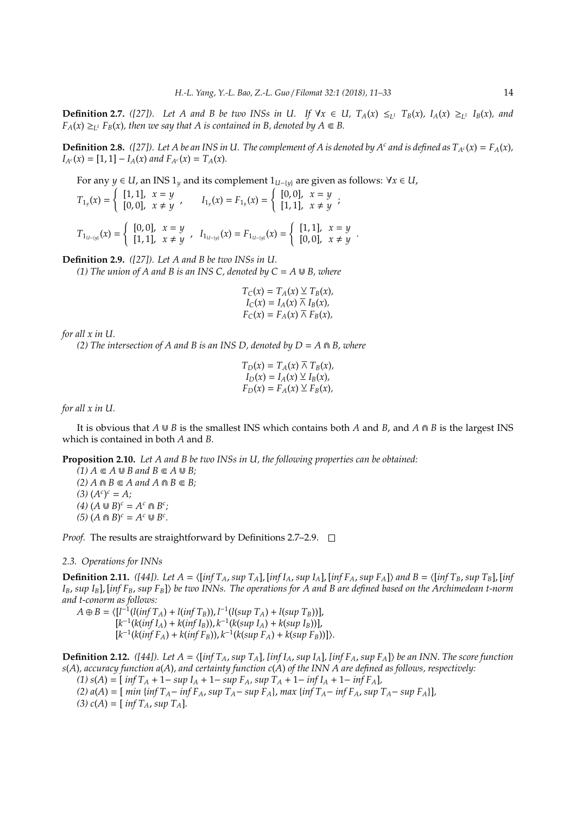**Definition 2.7.** ([27]). Let A and B be two INSs in U. If  $\forall x \in U$ ,  $T_A(x) \leq_L T_B(x)$ ,  $I_A(x) \geq_L I_B(x)$ , and  $F_A(x) \geq_{L^1} F_B(x)$ , then we say that A is contained in B, denoted by  $A \in B$ .

**Definition 2.8.** ([27]). Let A be an INS in U. The complement of A is denoted by A<sup>*c*</sup> and is defined as  $T_{A^c}(x) = F_A(x)$ ,  $I_{A^c}(x) = [1, 1] - I_A(x)$  *and*  $F_{A^c}(x) = T_A(x)$ .

For any *y* ∈ *U*, an INS 1<sub>*y*</sub> and its complement 1<sub>*U*−{*y*}</sub> are given as follows: ∀*x* ∈ *U*,  $T_{1y}(x) =$  $\int$  [1, 1],  $x = y$  $[I_1, I_1]$ ,  $x \neq y$ ,  $I_{1y}(x) = F_{1y}(x) =$  $[0, 0], x = y$  $[1, 1]$ ,  $x \neq y$  $T_{1_{U-}{(y)}}(x) =$  $[0, 0], x = y$  $[1, 1]$ ,  $x \neq y$ ,  $I_{1_{U-[y]}}(x) = F_{1_{U-[y]}}(x) =$  $\int$  [1, 1],  $x = y$  $[0, 0], x \neq y$ 

**Definition 2.9.** *([27]). Let A and B be two INSs in U.*

*(1) The union of A and B is an INS C, denoted by*  $C = A \cup B$ *, where* 

$$
T_C(x) = T_A(x) \vee T_B(x),
$$
  
\n
$$
I_C(x) = I_A(x) \overline{\wedge} I_B(x),
$$
  
\n
$$
F_C(x) = F_A(x) \overline{\wedge} F_B(x),
$$

*for all x in U.*

*(2) The intersection of A and B is an INS D, denoted by*  $D = A \cap B$ *, where* 

$$
T_D(x) = T_A(x) \overline{\wedge} T_B(x),
$$
  
\n
$$
I_D(x) = I_A(x) \vee I_B(x),
$$
  
\n
$$
F_D(x) = F_A(x) \vee F_B(x),
$$

*for all x in U.*

It is obvious that  $A \cup B$  is the smallest INS which contains both *A* and *B*, and *A*  $\cap$  *B* is the largest INS which is contained in both *A* and *B*.

**Proposition 2.10.** *Let A and B be two INSs in U, the following properties can be obtained:*

 $(1)$   $A \subseteq A \cup B$  and  $B \subseteq A \cup B$ ;  $(2)$   $A \cap B \subseteq A$  and  $A \cap B \subseteq B$ ;  $(A^c)^c = A;$  $(A)$   $(A \cup B)^c = A^c \cap B^c;$  $(5)$   $(A \cap B)^c = A^c \cup B^c$ .

*Proof.* The results are straightforward by Definitions 2.7–2.9. □

#### *2.3. Operations for INNs*

**Definition 2.11.** *([44]). Let A* = h[*inf TA*, *sup TA*], [*inf IA*, *sup IA*], [*inf FA*, *sup FA*]i *and B* = h[*inf TB*, *sup TB*], [*inf IB*, *sup IB*], [*inf FB*, *sup FB*]i *be two INNs. The operations for A and B are defined based on the Archimedean t-norm and t-conorm as follows:*

*A* ⊕ *B* =  $\langle [l^{-1}(l(inf T_A) + l(inf T_B)), l^{-1}(l(sup T_A) + l(sup T_B))]$ ,  $[k^{-1}(k(int I_A) + k(int I_B)), k^{-1}(k(sup I_A) + k(sup I_B))],$  $[k^{-1}(k(inf F_A) + k(inf F_B)), k^{-1}(k(sup F_A) + k(sup F_B))])$ .

**Definition 2.12.** ([44]). Let  $A = \{ \int \inf T_A \, \sup T_A \}$  [inf  $I_A$ , sup  $I_A$ ], [inf  $F_A$ , sup  $F_A$ ]) be an INN. The score function *s*(*A*)*, accuracy function a*(*A*)*, and certainty function c*(*A*) *of the INN A are defined as follows, respectively:*

*(1) s*(*A*) = [ *inf T<sup>A</sup>* + 1− *sup I<sup>A</sup>* + 1− *sup FA, sup T<sup>A</sup>* + 1− *inf I<sup>A</sup>* + 1− *inf FA*]*,*

(2)  $a(A) = \left[ \min \{ \inf T_A - \inf F_A \}$ ,  $\sup T_A - \sup F_A \}$ ,  $\max \{ \inf T_A - \inf F_A \}$ ,  $\sup T_A - \sup F_A \}$ 

(3)  $c(A) = \int inf T_A$ ,  $sup T_A$ ].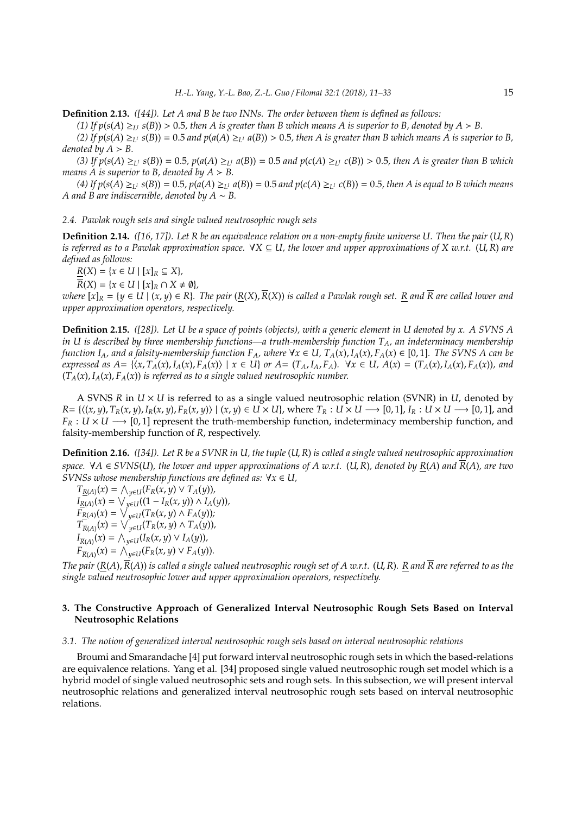**Definition 2.13.** *([44]). Let A and B be two INNs. The order between them is defined as follows:*

*(1)* If  $p(s(A) \geq_{L^1} s(B)) > 0.5$ , then A is greater than B which means A is superior to B, denoted by  $A > B$ .

*(2)* If  $p(s(A) \geq_{L^1} s(B)) = 0.5$  and  $p(a(A) \geq_{L^1} a(B)) > 0.5$ , then A is greater than B which means A is superior to B, *denoted by*  $A > B$ *.* 

(3) If  $p(s(A) \geq_{L^1} s(B)) = 0.5$ ,  $p(a(A) \geq_{L^1} a(B)) = 0.5$  and  $p(c(A) \geq_{L^1} c(B)) > 0.5$ , then A is greater than B which *means A is superior to B, denoted by*  $A > B$ *.* 

(4) If  $p(s(A) \geq_{L^1} s(B)) = 0.5$ ,  $p(a(A) \geq_{L^1} a(B)) = 0.5$  and  $p(c(A) \geq_{L^1} c(B)) = 0.5$ , then A is equal to B which means *A and B are indiscernible, denoted by A* ∼ *B.*

#### *2.4. Pawlak rough sets and single valued neutrosophic rough sets*

**Definition 2.14.** *([16, 17]). Let R be an equivalence relation on a non-empty finite universe U. Then the pair* (*U*,*R*) *is referred as to a Pawlak approximation space.* ∀*X* ⊆ *U, the lower and upper approximations of X w.r.t.* (*U*,*R*) *are defined as follows:*

 $R(X) = \{x \in U \mid [x]_R \subseteq X\},\$ 

 $\overline{R}(X) = \{x \in U \mid [x]_R \cap X \neq \emptyset\},\$ 

where  $[x]_R = \{y \in U \mid (x, y) \in R\}$ . The pair  $(R(X), \overline{R}(X))$  is called a Pawlak rough set. R and  $\overline{R}$  are called lower and *upper approximation operators, respectively.*

**Definition 2.15.** *([28]). Let U be a space of points (objects), with a generic element in U denoted by x. A SVNS A in U is described by three membership functions—a truth-membership function TA, an indeterminacy membership function*  $I_A$ *, and a falsity-membership function*  $F_A$ *, where*  $\forall x \in U$ ,  $T_A(x)$ ,  $I_A(x)$ ,  $F_A(x) \in [0, 1]$ . The SVNS A can be expressed as  $A = \{ (x, T_A(x), I_A(x), F_A(x)) \mid x \in U \}$  or  $A = (T_A, I_A, F_A)$ .  $\forall x \in U, A(x) = (T_A(x), I_A(x), F_A(x))$ , and  $(T_A(x), I_A(x), F_A(x))$  *is referred as to a single valued neutrosophic number.* 

A SVNS *R* in *U* × *U* is referred to as a single valued neutrosophic relation (SVNR) in *U*, denoted by  $R = \{(x, y), T_R(x, y), I_R(x, y), F_R(x, y)\}\mid (x, y) \in U \times U\}$ , where  $T_R : U \times U \longrightarrow [0, 1], I_R : U \times U \longrightarrow [0, 1]$ , and  $F_R: U \times U \longrightarrow [0,1]$  represent the truth-membership function, indeterminacy membership function, and falsity-membership function of *R*, respectively.

**Definition 2.16.** *([34]). Let R be a SVNR in U, the tuple* (*U*,*R*) *is called a single valued neutrosophic approximation space.* ∀*A* ∈ *SVNS*(*U*)*, the lower and upper approximations of A w.r.t.* (*U*,*R*)*, denoted by R*(*A*) *and R*(*A*)*, are two SVNSs whose membership functions are defined as:* ∀*x* ∈ *U,*

 $T_{R(A)}(x) = \bigwedge_{y \in U} (F_R(x, y) \vee T_A(y)),$  $I_{R(A)}(x) = \bigvee_{y \in U} ((1 - I_R(x, y)) \wedge I_A(y)),$  $\overline{F}_{R(A)}(x) = \sqrt{\sqrt{y}EU(T_R(x, y) \wedge F_A(y))};$  $T_{\overline{R}(A)}(x) = \sqrt{y} \in U(T_R(x, y) \wedge T_A(y)),$  $I_{\overline{R}(A)}(x) = \bigwedge_{y \in U} (I_R(x, y) \vee I_A(y)),$  $F_{\overline{R}(A)}(x) = \bigwedge_{y \in U}^{\infty} (F_R(x, y) \vee F_A(y)).$ 

*The pair* ( $R(A)$ ,  $\overline{R}(A)$ ) *is called a single valued neutrosophic rough set of A w.r.t.* ( $U$ ,  $R$ ). R and  $\overline{R}$  are referred to as the *single valued neutrosophic lower and upper approximation operators, respectively.*

# **3. The Constructive Approach of Generalized Interval Neutrosophic Rough Sets Based on Interval Neutrosophic Relations**

# *3.1. The notion of generalized interval neutrosophic rough sets based on interval neutrosophic relations*

Broumi and Smarandache [4] put forward interval neutrosophic rough sets in which the based-relations are equivalence relations. Yang et al. [34] proposed single valued neutrosophic rough set model which is a hybrid model of single valued neutrosophic sets and rough sets. In this subsection, we will present interval neutrosophic relations and generalized interval neutrosophic rough sets based on interval neutrosophic relations.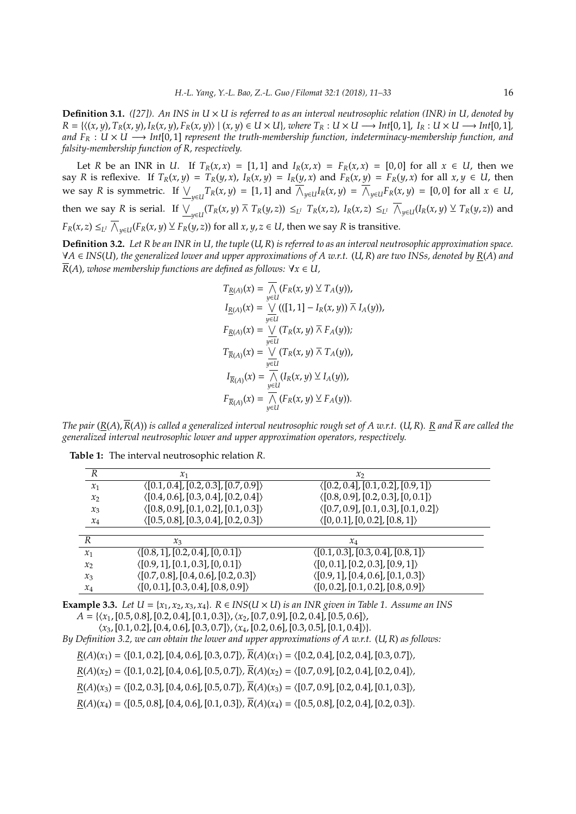**Definition 3.1.** *([27]).* An INS in U  $\times$  *U is referred to as an interval neutrosophic relation (INR) in U, denoted by*  $R = \{((x, y), T_R(x, y), I_R(x, y), F_R(x, y)) | (x, y) \in U \times U\}$ , where  $T_R : U \times U \longrightarrow Int[0, 1]$ ,  $I_R : U \times U \longrightarrow Int[0, 1]$ , *and*  $F_R$  :  $U \times U$  → *Int*[0,1] *represent the truth-membership function, indeterminacy-membership function, and falsity-membership function of R, respectively.*

Let *R* be an INR in *U*. If  $T_R(x,x) = [1,1]$  and  $I_R(x,x) = F_R(x,x) = [0,0]$  for all  $x \in U$ , then we say R is reflexive. If  $T_R(x, y) = T_R(y, x)$ ,  $I_R(x, y) = I_R(y, x)$  and  $F_R(x, y) = F_R(y, x)$  for all  $x, y \in U$ , then we say R is symmetric. If  $\underline{\bigvee}_{y\in U}T_R(x,y) = [1,1]$  and  $\overline{\bigwedge}_{y\in U}I_R(x,y) = \overline{\bigwedge}_{y\in U}F_R(x,y) = [0,0]$  for all  $x \in U$ , then we say R is serial. If  $\vee_{y\in U}(T_R(x,y)\barwedge T_R(y,z)) \leq_{L^I} T_R(x,z)$ ,  $I_R(x,z) \leq_{L^I} \overline{\wedge}_{y\in U}(I_R(x,y) \vee T_R(y,z))$  and  $F_R(x,z)\leq_{L^I}\overline{\bigwedge}_{y\in U}(F_R(x,y)\veebar F_R(y,z))$  for all  $x,y,z\in U$ , then we say  $R$  is transitive.

**Definition 3.2.** *Let R be an INR in U, the tuple* (*U*,*R*) *is referred to as an interval neutrosophic approximation space.* ∀*A* ∈ *INS*(*U*)*, the generalized lower and upper approximations of A w.r.t.* (*U*,*R*) *are two INSs, denoted by R*(*A*) *and*  $\overline{R}(A)$ *, whose membership functions are defined as follows:*  $\forall x \in U$ *,* 

$$
T_{\underline{R}(A)}(x) = \overline{\bigwedge_{y \in U} (F_R(x, y) \vee T_A(y)),}
$$
  
\n
$$
I_{\underline{R}(A)}(x) = \bigvee_{y \in U} (([1, 1] - I_R(x, y)) \wedge I_A(y)),
$$
  
\n
$$
F_{\underline{R}(A)}(x) = \bigvee_{y \in U} (T_R(x, y) \wedge F_A(y));
$$
  
\n
$$
T_{\overline{R}(A)}(x) = \bigvee_{y \in U} (T_R(x, y) \wedge T_A(y)),
$$
  
\n
$$
I_{\overline{R}(A)}(x) = \overline{\bigwedge_{y \in U} (I_R(x, y) \vee I_A(y)),}
$$
  
\n
$$
F_{\overline{R}(A)}(x) = \overline{\bigwedge_{y \in U} (F_R(x, y) \vee F_A(y)).}
$$

*The pair* ( $R(A)$ ,  $\overline{R}(A)$ ) *is called a generalized interval neutrosophic rough set of A w.r.t.* (U, R). R and  $\overline{R}$  are called the *generalized interval neutrosophic lower and upper approximation operators, respectively.*

| R                 | $\mathcal{X}_1$                                      | $\mathcal{X}_{2}$                                    |  |
|-------------------|------------------------------------------------------|------------------------------------------------------|--|
| $x_1$             | $\langle [0.1, 0.4], [0.2, 0.3], [0.7, 0.9] \rangle$ | $\langle [0.2, 0.4], [0.1, 0.2], [0.9, 1] \rangle$   |  |
| $x_2$             | $\langle [0.4, 0.6], [0.3, 0.4], [0.2, 0.4] \rangle$ | $\langle [0.8, 0.9], [0.2, 0.3], [0, 0.1] \rangle$   |  |
| $x_3$             | $\langle [0.8, 0.9], [0.1, 0.2], [0.1, 0.3] \rangle$ | $\langle [0.7, 0.9], [0.1, 0.3], [0.1, 0.2] \rangle$ |  |
| $x_4$             | $\langle [0.5, 0.8], [0.3, 0.4], [0.2, 0.3] \rangle$ | $\langle [0, 0.1], [0, 0.2], [0.8, 1] \rangle$       |  |
|                   |                                                      |                                                      |  |
|                   |                                                      |                                                      |  |
| R                 | $\chi_3$                                             | $x_4$                                                |  |
| $\mathcal{X}_1$   | $\langle [0.8, 1], [0.2, 0.4], [0, 0.1] \rangle$     | $\langle [0.1, 0.3], [0.3, 0.4], [0.8, 1] \rangle$   |  |
| $\mathcal{X}_{2}$ | $\langle [0.9, 1], [0.1, 0.3], [0, 0.1] \rangle$     | $\langle [0, 0.1], [0.2, 0.3], [0.9, 1] \rangle$     |  |
| $x_3$             | $\langle [0.7, 0.8], [0.4, 0.6], [0.2, 0.3] \rangle$ | $\langle [0.9, 1], [0.4, 0.6], [0.1, 0.3] \rangle$   |  |

**Table 1:** The interval neutrosophic relation *R*.

**Example 3.3.** *Let*  $U = \{x_1, x_2, x_3, x_4\}$ *.*  $R \in INS(U \times U)$  *is an INR given in Table 1. Assume an INS*  $A = \{ \langle x_1, [0.5, 0.8], [0.2, 0.4], [0.1, 0.3] \rangle, \langle x_2, [0.7, 0.9], [0.2, 0.4], [0.5, 0.6] \rangle,$ 

 $\langle x_3, [0.1, 0.2], [0.4, 0.6], [0.3, 0.7] \rangle, \langle x_4, [0.2, 0.6], [0.3, 0.5], [0.1, 0.4] \rangle$ .

*By Definition 3.2, we can obtain the lower and upper approximations of A w.r.t.* (*U*, *R*) *as follows:*

 $R(A)(x_1) = \langle [0.1, 0.2], [0.4, 0.6], [0.3, 0.7]\rangle$ ,  $\overline{R}(A)(x_1) = \langle [0.2, 0.4], [0.2, 0.4], [0.3, 0.7]\rangle$ ,

 $R(A)(x_2) = \langle [0.1, 0.2], [0.4, 0.6], [0.5, 0.7]\rangle$ ,  $\overline{R}(A)(x_2) = \langle [0.7, 0.9], [0.2, 0.4], [0.2, 0.4]\rangle$ ,

 $R(A)(x_3) = \langle [0.2, 0.3], [0.4, 0.6], [0.5, 0.7]\rangle$ ,  $\overline{R}(A)(x_3) = \langle [0.7, 0.9], [0.2, 0.4], [0.1, 0.3]\rangle$ ,

 $R(A)(x_4) = \langle [0.5, 0.8], [0.4, 0.6], [0.1, 0.3]\rangle$ ,  $\overline{R}(A)(x_4) = \langle [0.5, 0.8], [0.2, 0.4], [0.2, 0.3]\rangle$ .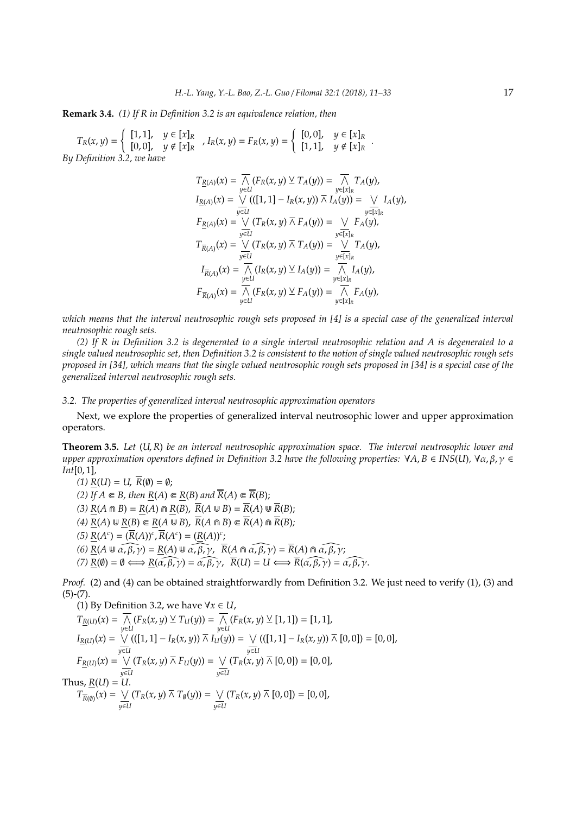## **Remark 3.4.** *(1) If R in Definition 3.2 is an equivalence relation, then*

 $T_R(x, y) =$ ( [1, 1], *y* ∈ [*x*]*<sup>R</sup>*  $[0, 0], \quad y \notin [x]_R$ ,  $I_R(x, y) = F_R(x, y) =$ ( [0, 0], *y* ∈ [*x*]*<sup>R</sup>*  $[1, 1], y \notin [x]_R$ *By Definition 3.2, we have*

$$
T_{\underline{R}(A)}(x) = \overline{\bigwedge_{y \in U} (F_R(x, y) \vee T_A(y))} = \overline{\bigwedge_{y \in [x]_R} T_A(y)},
$$
  
\n
$$
I_{\underline{R}(A)}(x) = \bigvee_{y \in U} (([1, 1] - I_R(x, y)) \overline{\wedge} I_A(y)) = \bigvee_{y \in [x]_R} I_A(y),
$$
  
\n
$$
F_{\underline{R}(A)}(x) = \bigvee_{y \in U} (T_R(x, y) \overline{\wedge} F_A(y)) = \bigvee_{y \in [x]_R} F_A(y),
$$
  
\n
$$
T_{\overline{R}(A)}(x) = \bigvee_{y \in U} (T_R(x, y) \overline{\wedge} T_A(y)) = \bigvee_{y \in [x]_R} T_A(y),
$$
  
\n
$$
I_{\overline{R}(A)}(x) = \overline{\bigwedge_{y \in U} (I_R(x, y) \vee I_A(y))} = \overline{\bigwedge_{y \in [x]_R} I_A(y)},
$$
  
\n
$$
F_{\overline{R}(A)}(x) = \overline{\bigwedge_{y \in U} (F_R(x, y) \vee F_A(y))} = \overline{\bigwedge_{y \in [x]_R} F_A(y)},
$$

*which means that the interval neutrosophic rough sets proposed in [4] is a special case of the generalized interval neutrosophic rough sets.*

*(2) If R in Definition 3.2 is degenerated to a single interval neutrosophic relation and A is degenerated to a single valued neutrosophic set, then Definition 3.2 is consistent to the notion of single valued neutrosophic rough sets proposed in [34], which means that the single valued neutrosophic rough sets proposed in [34] is a special case of the generalized interval neutrosophic rough sets.*

#### *3.2. The properties of generalized interval neutrosophic approximation operators*

Next, we explore the properties of generalized interval neutrosophic lower and upper approximation operators.

**Theorem 3.5.** *Let* (*U*,*R*) *be an interval neutrosophic approximation space. The interval neutrosophic lower and upper approximation operators defined in Definition 3.2 have the following properties:*  $\forall A, B \in INS(U), \forall \alpha, \beta, \gamma \in$ *Int*[0, 1]*,*

 $(1)$   $\underline{R}(U) = U$ ,  $\overline{R}(\emptyset) = \emptyset$ ; *(2)* If  $A \subseteq B$ , then  $R(A) \subseteq R(B)$  and  $\overline{R}(A) \subseteq \overline{R}(B)$ ; *(3)*  $R(A \cap B) = R(A) \cap R(B)$ ,  $\overline{R}(A \cup B) = \overline{R}(A) \cup \overline{R}(B)$ ;  $(R(A) \cup R(B) \subseteq R(A \cup B), \overline{R}(A \cap B) \subseteq \overline{R}(A) \cap \overline{R}(B)$ ;  $B(A^c) = (\overline{R}(A))^c$ ,  $\overline{R}(A^c) = (\underline{R}(A))^c$ ;  $(6)$   $\underline{R}(A \cup \widehat{\alpha, \beta, \gamma}) = \underline{R}(A) \cup \widehat{\alpha, \beta, \gamma}$ ,  $\overline{R}(A \cap \widehat{\alpha, \beta, \gamma}) = \overline{R}(A) \cap \widehat{\alpha, \beta, \gamma}$ ;  $P(A)$   $\underline{R}(\emptyset) = \emptyset \Longleftrightarrow \underline{R}(\widehat{\alpha, \beta, \gamma}) = \widehat{\alpha, \beta, \gamma}, \ \overline{R}(U) = U \Longleftrightarrow \overline{R}(\widehat{\alpha, \beta, \gamma}) = \widehat{\alpha, \beta, \gamma}.$ 

*Proof.* (2) and (4) can be obtained straightforwardly from Definition 3.2. We just need to verify (1), (3) and  $(5)-(7)$ .

(1) By Definition 3.2, we have 
$$
\forall x \in U
$$
,  
\n
$$
T_{\underline{R}(U)}(x) = \overline{\bigwedge_{y \in U} (F_R(x, y) \vee T_U(y))} = \overline{\bigwedge_{y \in U} (F_R(x, y) \vee [1, 1])} = [1, 1],
$$
\n
$$
I_{\underline{R}(U)}(x) = \bigvee_{y \in U} (([1, 1] - I_R(x, y)) \overline{\wedge} I_U(y)) = \bigvee_{y \in U} (([1, 1] - I_R(x, y)) \overline{\wedge} [0, 0]) = [0, 0],
$$
\n
$$
F_{\underline{R}(U)}(x) = \bigvee_{y \in U} (T_R(x, y) \overline{\wedge} F_U(y)) = \bigvee_{y \in U} (T_R(x, y) \overline{\wedge} [0, 0]) = [0, 0],
$$
\nThus,  $\underline{R}(U) = U$ .  
\n
$$
T_{\overline{R}(0)}(x) = \bigvee_{y \in U} (T_R(x, y) \overline{\wedge} T_0(y)) = \bigvee_{y \in U} (T_R(x, y) \overline{\wedge} [0, 0]) = [0, 0],
$$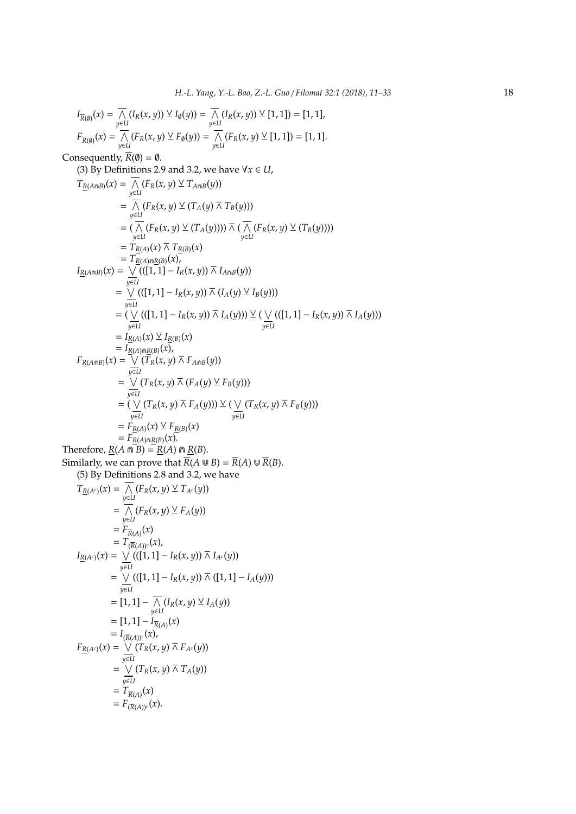$$
I_{\overline{R}(0)}(x) = \frac{1}{N} (I_R(x, y)) \vee I_0(y)) = \frac{1}{N} (I_R(x, y)) \vee [1, 1]) = [1, 1],
$$
  
\n
$$
F_{\overline{R}(0)}(x) = \frac{1}{y \in U} (F_R(x, y) \vee F_0(y)) = \frac{1}{N} (F_R(x, y) \vee [1, 1]) = [1, 1].
$$
  
\nConsequently,  $\overline{R}(0) = 0$ .  
\n(3) By Definitions 2.9 and 3.2, we have  $\forall x \in U$ ,  
\n
$$
T_{\underline{R}(A \cap B)}(x) = \frac{1}{N} (F_R(x, y) \vee T_{A \cap B}(y))
$$
\n
$$
= \frac{1}{N} (F_R(x, y) \vee (T_A(y))) \wedge T_B(y))
$$
\n
$$
= \frac{1}{N} (F_R(x, y) \vee (T_A(y))) \wedge (\frac{1}{N} (F_R(x, y) \vee (T_B(y))))
$$
\n
$$
= T_{\underline{R}(A)}(x) \wedge T_{\underline{R}(B)}(x)
$$
\n
$$
= T_{\underline{R}(A)}(x) \wedge T_{\underline{R}(B)}(x)
$$
\n
$$
= \frac{1}{N} [(1, 1] - I_R(x, y)) \wedge I_{A \cap B}(y))
$$
\n
$$
= (\frac{1}{N} ((1, 1) - I_R(x, y)) \wedge I_A(y)) \vee (\frac{1}{N} ((1, 1) - I_R(x, y)) \wedge I_A(y)))
$$
\n
$$
= \frac{1}{N} (X_A(x, y) \wedge T_A(y)) \vee (Y_{\underline{R}(y)}(x))
$$
\n
$$
= \frac{1}{N} (X_A(x, y) \wedge T_A(y)) \vee (Y_{\underline{R}(x, y)}(x) \wedge T_A(y))
$$
\n
$$
= \frac{1}{N} (T_R(x, y) \wedge T_A(y)) \vee (\frac{1}{N} ((1, 1) - I_R(x, y)) \wedge I_A(y))
$$
\n
$$
= \frac{1}{N} (X_A(x, y) \wedge T_A(y)) \vee (\frac{1}{N} ((1, 1) - I_R
$$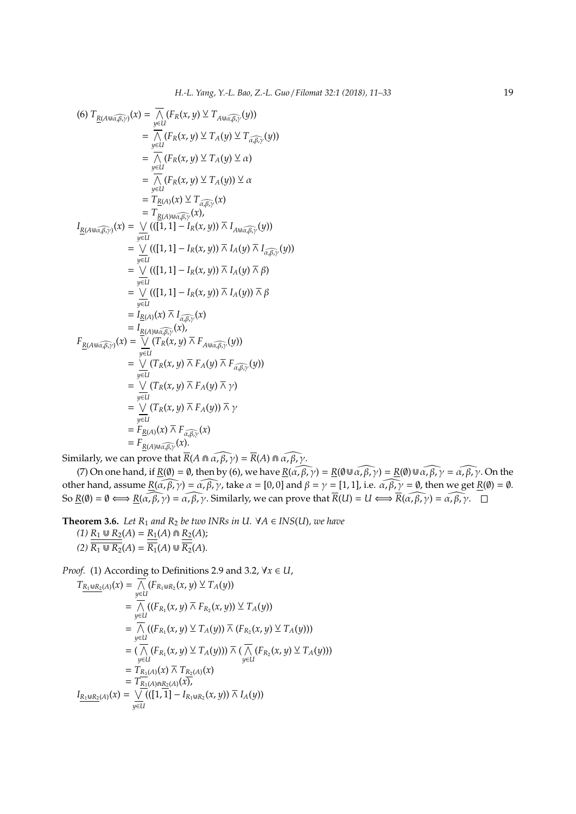$$
(6) T_{\underline{R}(A \cup \widehat{\alpha, \beta, \gamma})}(x) = \frac{1}{N} (F_R(x, y) \vee T_{A \cup \widehat{\alpha, \beta, \gamma}}(y))
$$
  
\n
$$
= \frac{1}{N} (F_R(x, y) \vee T_A(y) \vee T_{\widehat{\alpha, \beta, \gamma}}(y)))
$$
  
\n
$$
= \frac{1}{N} (F_R(x, y) \vee T_A(y) \vee \alpha)
$$
  
\n
$$
= \frac{1}{N} (F_R(x, y) \vee T_A(y)) \vee \alpha
$$
  
\n
$$
= T_{\underline{R}(A)}(x) \vee T_{\widehat{\alpha, \beta, \gamma}}(x)
$$
  
\n
$$
= T_{\underline{R}(A)}(x) \vee T_{\widehat{\alpha, \beta, \gamma}}(x)
$$
  
\n
$$
I_{\underline{R}(A \cup \widehat{\alpha, \beta, \gamma})}(x) = \frac{1}{y \in U} ((\frac{1}{1} \cdot 1) - I_R(x, y)) \wedge I_{A \cup \widehat{\alpha, \beta, \gamma}}(y))
$$
  
\n
$$
= \frac{1}{N} ((\frac{1}{1} \cdot 1) - I_R(x, y)) \wedge I_A(y) \wedge I_{\widehat{\alpha, \beta, \gamma}}(y))
$$
  
\n
$$
= \frac{1}{N} ((\frac{1}{1} \cdot 1) - I_R(x, y)) \wedge I_A(y) \wedge \beta)
$$
  
\n
$$
= \frac{1}{N} ((\frac{1}{1} \cdot 1) - I_R(x, y)) \wedge I_A(y) \wedge \beta)
$$
  
\n
$$
= \frac{1}{N} ((\frac{1}{1} \cdot 1) - I_R(x, y)) \wedge I_A(y) \wedge \beta)
$$
  
\n
$$
= I_{\underline{R}(A)}(x) \wedge I_{\widehat{\alpha, \beta, \gamma}}(x)
$$
  
\n
$$
= I_{\underline{R}(A)}(x) \wedge I_{\widehat{\alpha, \beta, \gamma}}(y)
$$
  
\n
$$
= \frac{1}{N} ((\frac{1}{1} \cdot 1) - I_R(x, y)) \wedge I_A(y) \wedge I_A(y)) \wedge I_A(y)
$$
  
\n

Similarly, we can prove that  $\overline{R}(A \cap \alpha, \widehat{\beta}, \gamma) = \overline{R}(A) \cap \alpha, \widehat{\beta}, \gamma$ .

(7) On one hand, if  $\underline{R}(\emptyset) = \emptyset$ , then by (6), we have  $\underline{R}(\widehat{\alpha, \beta, \gamma}) = \underline{R}(\emptyset \cup \widehat{\alpha, \beta, \gamma}) = \underline{R}(\emptyset) \cup \widehat{\alpha, \beta, \gamma} = \widehat{\alpha, \beta, \gamma}$ . On the other hand, assume  $\underline{R}(\alpha, \beta, \gamma) = \alpha, \beta, \gamma$ , take  $\alpha = [0, 0]$  and  $\beta = \gamma = [1, 1]$ , i.e.  $\alpha, \beta, \gamma = \emptyset$ , then we get  $\underline{R}(\emptyset) = \emptyset$ . So  $\underline{R}(\emptyset) = \emptyset \Longleftrightarrow \underline{R}(\widehat{\alpha, \beta}, \gamma) = \widehat{\alpha, \beta}, \gamma$ . Similarly, we can prove that  $\overline{R}(U) = U \Longleftrightarrow \overline{R}(\widehat{\alpha, \beta}, \gamma) = \widehat{\alpha, \beta}, \gamma$ .

**Theorem 3.6.** *Let*  $R_1$  *and*  $R_2$  *be two INRs in U.*  $\forall A \in INS(U)$ *, we have*  $(1)$   $R_1 \cup R_2(A) = R_1(A) \cap R_2(A);$  $(2)$   $\overline{R_1 \cup R_2}(A) = \overline{R_1}(A) \cup \overline{R_2}(A)$ .

*Proof.* (1) According to Definitions 2.9 and 3.2,  $\forall x \in U$ ,

$$
T_{\underline{R_1} \underline{w} \underline{R_2}(A)}(x) = \frac{}{\mathcal{N}} \left( F_{R_1} \underline{w} R_2(x, y) \vee T_A(y) \right)
$$
  
\n
$$
= \frac{}{\mathcal{N}} \left( (F_{R_1}(x, y) \overline{\wedge} F_{R_2}(x, y)) \vee T_A(y) \right)
$$
  
\n
$$
= \frac{}{\mathcal{N}} \left( (F_{R_1}(x, y) \vee T_A(y)) \overline{\wedge} (F_{R_2}(x, y) \vee T_A(y)) \right)
$$
  
\n
$$
= (\frac{}{\mathcal{N}} \left( F_{R_1}(x, y) \vee T_A(y)) \right) \overline{\wedge} (\frac{}{\mathcal{N}} \left( F_{R_2}(x, y) \vee T_A(y)) \right)
$$
  
\n
$$
= T_{R_1(A)}(x) \overline{\wedge} T_{R_2(A)}(x)
$$
  
\n
$$
= T_{R_1(A) \underline{m} \underline{R_2}(A)}(x)
$$
  
\n
$$
I_{R_1 \underline{w} \underline{R_2}(A)}(x) = \frac{}{\mathcal{N}} \left( ((1, 1) - I_{R_1 \underline{w} \underline{R_2}(x, y)) \overline{\wedge} I_A(y) \right)
$$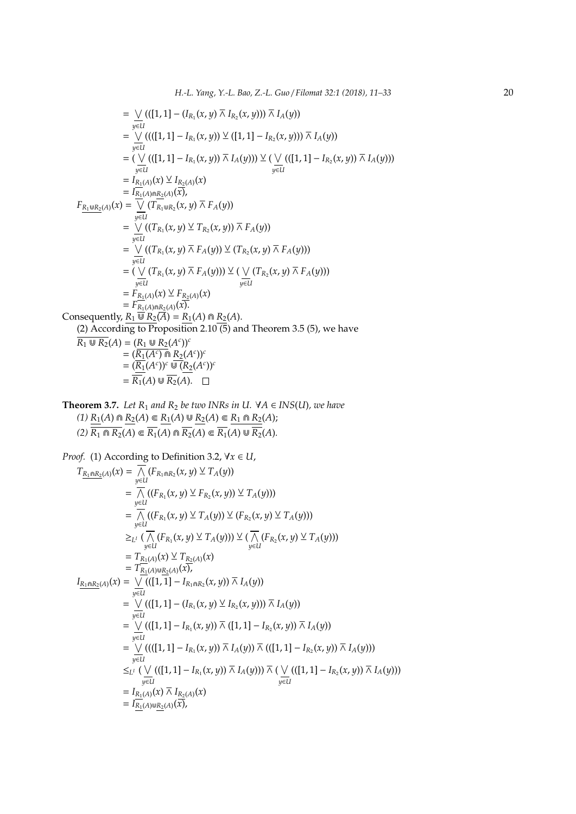$$
= \bigvee_{y \in U} (([1, 1] - (I_{R_1}(x, y) \overline{\wedge} I_{R_2}(x, y))) \overline{\wedge} I_A(y))
$$
  
\n
$$
= \bigvee_{y \in U} ((([1, 1] - I_{R_1}(x, y)) \vee ([1, 1] - I_{R_2}(x, y))) \overline{\wedge} I_A(y))
$$
  
\n
$$
= (\bigvee_{y \in U} ((([1, 1] - I_{R_1}(x, y)) \overline{\wedge} I_A(y))) \vee (\bigvee_{y \in U} (([1, 1] - I_{R_2}(x, y)) \overline{\wedge} I_A(y)))
$$
  
\n
$$
= I_{R_1(A)}(x) \vee I_{R_2(A)}(x)
$$
  
\n
$$
= I_{R_1(A)} \cap R_2(A)}(x)
$$
  
\n
$$
= I_{R_1(A)} \cap R_2(A)}(x)
$$
  
\n
$$
= \bigvee_{y \in U} ((T_{R_1}(x, y) \vee T_{R_2}(x, y))) \overline{\wedge} F_A(y))
$$
  
\n
$$
= \bigvee_{y \in U} ((T_{R_1}(x, y) \overline{\wedge} F_A(y))) \vee (T_{R_2}(x, y) \overline{\wedge} F_A(y)))
$$
  
\n
$$
= (\bigvee_{y \in U} (T_{R_1}(x, y) \overline{\wedge} F_A(y))) \vee (\bigvee_{y \in U} (T_{R_2}(x, y) \overline{\wedge} F_A(y)))
$$
  
\n
$$
= F_{R_1(A)}(x) \vee F_{R_2(A)}(x)
$$
  
\n
$$
= F_{R_1(A)}(x) \vee F_{R_2(A)}(x)
$$
  
\n
$$
= F_{R_1(A)}(x) \vee F_{R_2(A)}(x)
$$
  
\n
$$
= F_{R_1(A)}(x) \vee F_{R_2(A)}(x)
$$
  
\n
$$
= \bigvee_{y \in U} (T_{R_1}(x, y) \overline{\wedge} F_A(y)))
$$
  
\n
$$
= F_{R_1(A)}(x) \vee F_{R_2(A)}(x)
$$
  
\n
$$
=
$$

**Theorem 3.7.** *Let*  $R_1$  *and*  $R_2$  *be two INRs in U.*  $\forall A \in INS(U)$ *, we have (1)*  $R_1(A) \cap R_2(A) \subseteq R_1(A) \cup R_2(A) \subseteq R_1 \cap R_2(A);$  $(2)$   $\overline{R_1 \cap R_2(A)} \subseteq \overline{R_1(A)} \cap \overline{R_2(A)} \subseteq \overline{R_1(A)} \cup \overline{R_2}(A)$ .

*Proof.* (1) According to Definition 3.2, ∀*x* ∈ *U*,

$$
T_{\underline{R_1 \cap R_2}(A)}(x) = \frac{1}{N} (F_{R_1 \cap R_2}(x, y) \vee T_A(y))
$$
  
\n
$$
= \frac{1}{N} ((F_{R_1}(x, y) \vee F_{R_2}(x, y)) \vee T_A(y)))
$$
  
\n
$$
= \frac{1}{N} ((F_{R_1}(x, y) \vee T_A(y)) \vee (F_{R_2}(x, y) \vee T_A(y)))
$$
  
\n
$$
\geq_{L'} (\frac{1}{N} (F_{R_1}(x, y) \vee T_A(y))) \vee (\frac{1}{N} (F_{R_2}(x, y) \vee T_A(y)))
$$
  
\n
$$
= T_{R_1(A)}(x) \vee T_{R_2(A)}(x)
$$
  
\n
$$
= T_{R_1(A)}(x) \vee T_{R_2(A)}(x)
$$
  
\n
$$
= T_{R_1(A)}(x) \vee T_{R_2(A)}(x)
$$
  
\n
$$
= T_{R_1(A)}(x) \vee T_{R_2(A)}(x)
$$
  
\n
$$
= \frac{1}{N} ((\frac{1}{1}) - I_{R_1 \cap R_2}(x, y)) \wedge I_A(y))
$$
  
\n
$$
= \frac{1}{N} ((\frac{1}{1}) - I_{R_1}(x, y) \vee T_{R_2}(x, y)) \wedge I_A(y))
$$
  
\n
$$
= \frac{1}{N} ((\frac{1}{1}) - I_{R_1}(x, y)) \wedge (\frac{1}{1}) - I_{R_2}(x, y)) \wedge I_A(y)
$$
  
\n
$$
= \frac{1}{N} (((\frac{1}{1}) - I_{R_1}(x, y)) \wedge I_A(y)) \wedge ((\frac{1}{1}) - I_{R_2}(x, y)) \wedge I_A(y)) )
$$
  
\n
$$
\leq_{L'} (\frac{1}{N} ((\frac{1}{1}) - I_{R_1}(x, y)) \wedge I_A(y)) \wedge (\frac{1}{N} ((\frac{1}{1}) - I_{R_2}(x, y)) \wedge I_A(y)) )
$$
  
\n
$$
= I_{R_1(A)}(x) \wedge I_{R_2(A)}(x)
$$
  
\n
$$
= I_{
$$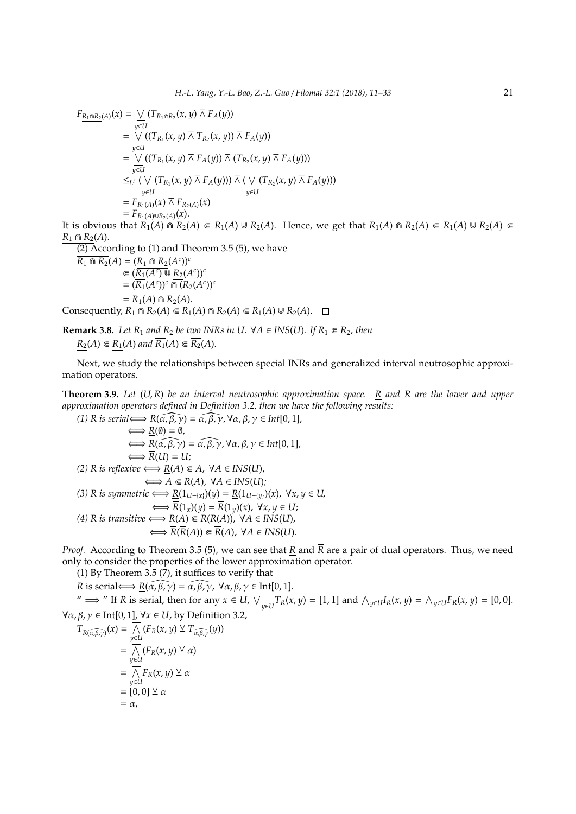$$
F_{\underline{R_1 \cap R_2}(A)}(x) = \bigvee_{y \in U} (T_{R_1 \cap R_2}(x, y) \overline{\wedge} F_A(y))
$$
  
\n
$$
= \bigvee_{y \in U} ((T_{R_1}(x, y) \overline{\wedge} T_{R_2}(x, y)) \overline{\wedge} F_A(y))
$$
  
\n
$$
= \bigvee_{y \in U} ((T_{R_1}(x, y) \overline{\wedge} F_A(y)) \overline{\wedge} (T_{R_2}(x, y) \overline{\wedge} F_A(y)))
$$
  
\n
$$
\leq_{L^1} (\bigvee_{y \in U} (T_{R_1}(x, y) \overline{\wedge} F_A(y))) \overline{\wedge} (\bigvee_{y \in U} (T_{R_2}(x, y) \overline{\wedge} F_A(y)))
$$
  
\n
$$
= F_{R_1(A) \cup R_2(A)}(x)
$$
  
\nIf is obvious that  $\overline{R_1(A)} = \overline{R_2(A)} = \overline{R_1(A)} = \overline{R_2(A)} = \overline{R_1(A)} = \overline{R_2(A)} = \overline{R_1(A)} = \overline{R_2(A)} = \overline{R_1(A)} = \overline{R_2(A)} = \overline{R_1(A)} = \overline{R_2(A)} = \overline{R_1(A)} = \overline{R_2(A)} = \overline{R_1(A)} = \overline{R_2(A)} = \overline{R_1(A)} = \overline{R_2(A)} = \overline{R_1(A)} = \overline{R_2(A)} = \overline{R_1(A)} = \overline{R_2(A)} = \overline{R_1(A)} = \overline{R_2(A)} = \overline{R_1(A)} = \overline{R_2(A)} = \overline{R_1(A)} = \overline{R_2(A)} = \overline{R_1(A)} = \overline{R_2(A)} = \overline{R_1(A)} = \overline{R_2(A)} = \overline{R_1(A)} = \overline{R_1(A)} = \overline{R_2(A)} = \overline{R_1(A)} = \overline{R_1(A)} = \overline{R_1(A)} = \overline{R_1(A)} = \overline{R_1(A)} = \overline{R_1(A)} = \overline{R_1(A)} = \overline{R_1(A)} = \overline{R$ 

 $\overline{(2)}$  According to (1) and Theorem 3.5 (5), we have

$$
\overline{R_1 \cap R_2}(A) = (R_1 \cap R_2(A^c))^c
$$
\n
$$
\in (\overline{R_1}(A^c) \cup R_2(A^c))^c
$$
\n
$$
= (\overline{R_1}(A^c))^c \cap (\overline{R_2}(A^c))^c
$$
\n
$$
= \overline{R_1}(A) \cap \overline{R_2}(A).
$$
\nConsequently,  $\overline{R_1} \cap R_2(A) \subseteq \overline{R_1}(A) \cap \overline{R_2}(A) \subseteq \overline{R_1}(A) \cup \overline{R_2}(A)$ .  $\square$ 

**Remark 3.8.** *Let*  $R_1$  *and*  $R_2$  *be two INRs in U.*  $\forall A \in INS(U)$ *. If*  $R_1 \in R_2$ *, then*  $R_2(A) \in R_1(A)$  and  $\overline{R_1}(A) \in \overline{R_2}(A)$ .

Next, we study the relationships between special INRs and generalized interval neutrosophic approximation operators.

**Theorem 3.9.** Let (U, R) be an interval neutrosophic approximation space.  $R$  and  $\overline{R}$  are the lower and upper *approximation operators defined in Definition 3.2, then we have the following results:*

(1) R is serial 
$$
\iff \overline{R}(\alpha, \beta, \gamma) = \alpha, \beta, \gamma, \forall \alpha, \beta, \gamma \in Int[0, 1],
$$
  
\n $\iff \overline{R}(0) = 0,$   
\n $\iff \overline{R}(\alpha, \beta, \gamma) = \alpha, \beta, \gamma, \forall \alpha, \beta, \gamma \in Int[0, 1],$   
\n $\iff \overline{R}(U) = U;$   
\n(2) R is reflexive  $\iff \underline{R}(A) \subseteq A, \forall A \in INS(U),$   
\n $\iff A \subseteq \overline{R}(A), \forall A \in INS(U);$   
\n(3) R is symmetric  $\iff \underline{R}(1_{U- \{x\}})(y) = \underline{R}(1_{U- \{y\}})(x), \forall x, y \in U,$   
\n $\iff \overline{R}(1_x)(y) = \overline{R}(1_y)(x), \forall x, y \in U;$   
\n(4) R is transitive  $\iff \underline{R}(A) \subseteq \underline{R}(\underline{R}(A)), \forall A \in INS(U),$   
\n $\iff \overline{R}(\overline{R}(A)) \subseteq \overline{R}(A), \forall A \in INS(U).$ 

*Proof.* According to Theorem 3.5 (5), we can see that *R* and  $\overline{R}$  are a pair of dual operators. Thus, we need only to consider the properties of the lower approximation operator.

(1) By Theorem 3.5 (7), it suffices to verify that

*R* is serial  $\iff$   $R(\widehat{\alpha, \beta, \gamma}) = \widehat{\alpha, \beta, \gamma}$ ,  $\forall \alpha, \beta, \gamma \in \text{Int}[0, 1].$ 

"  $\implies$  " If R is serial, then for any  $x \in U$ ,  $\underline{\bigvee_{y \in U}} T_R(x, y) = [1, 1]$  and  $\overline{\bigwedge}_{y \in U} I_R(x, y) = \overline{\bigwedge}_{y \in U} F_R(x, y) = [0, 0]$ . ∀α, β, γ ∈ Int[0, 1], ∀*x* ∈ *U*, by Definition 3.2,

$$
T_{\underline{R}(\widehat{\alpha,\beta,\gamma})}(x) = \frac{}{\underset{y \in U}{\bigwedge}} (F_R(x,y) \vee T_{\widehat{\alpha,\beta,\gamma}}(y))
$$
  
\n
$$
= \frac{}{\underset{y \in U}{\bigwedge}} (F_R(x,y) \vee x)
$$
  
\n
$$
= \frac{}{\underset{y \in U}{\bigwedge}} F_R(x,y) \vee x
$$
  
\n
$$
= [0,0] \vee x
$$
  
\n
$$
= \alpha,
$$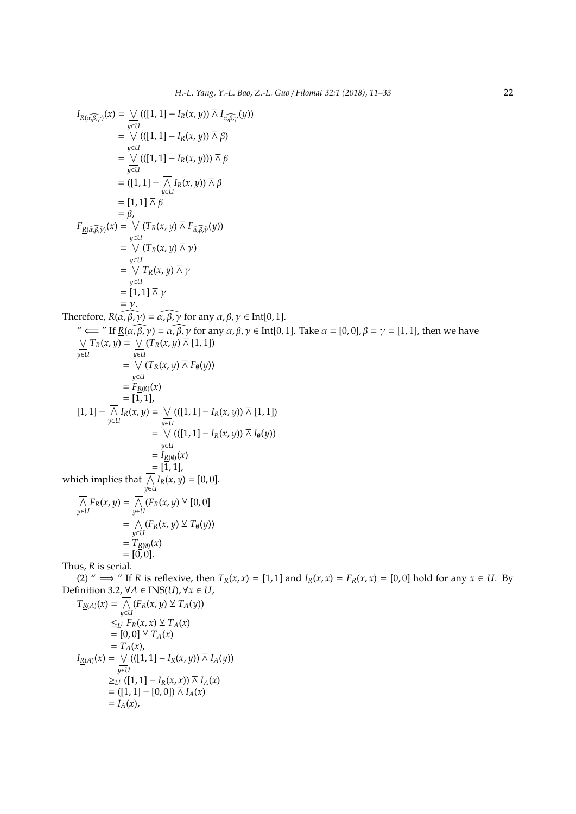*I*<sub>g</sub>(*π*,*π*<sub>2</sub>) = 
$$
\frac{1}{\gamma(11)} [F_1(x, y)] \times F_1 F_2(x, y)
$$
  
\n=  $\frac{1}{\gamma(11)} [F_1(x, y)] \times \beta$   
\n=  $\frac{1}{\gamma(11)} [F_2(x, y)] \times \beta$   
\n=  $\frac{1}{\gamma(11)} [F_1(x, y)] \times \beta$   
\n=  $[1, 1] \times \frac{1}{\gamma(11)} \times \frac{1}{\beta}$   
\n=  $[1, 1] \times \frac{1}{\gamma(11)} \times \frac{1}{\gamma(11)} \times \frac{1}{\gamma(11)} \times \frac{1}{\gamma(11)} \times \frac{1}{\gamma(11)} \times \frac{1}{\gamma(11)} \times \frac{1}{\gamma(11)} \times \frac{1}{\gamma(11)} \times \frac{1}{\gamma(11)} \times \frac{1}{\gamma(11)} \times \frac{1}{\gamma(11)} \times \frac{1}{\gamma(11)} \times \frac{1}{\gamma(11)} \times \frac{1}{\gamma(11)} \times \frac{1}{\gamma(11)} \times \frac{1}{\gamma(11)} \times \frac{1}{\gamma(11)} \times \frac{1}{\gamma(11)} \times \frac{1}{\gamma(11)} \times \frac{1}{\gamma(11)} \times \frac{1}{\gamma(11)} \times \frac{1}{\gamma(11)} \times \frac{1}{\gamma(11)} \times \frac{1}{\gamma(11)} \times \frac{1}{\gamma(11)} \times \frac{1}{\gamma(11)} \times \frac{1}{\gamma(11)} \times \frac{1}{\gamma(11)} \times \frac{1}{\gamma(11)} \times \frac{1}{\gamma(11)} \times \frac{1}{\gamma(11)} \times \frac{1}{\gamma(11)} \times \frac{1}{\gamma(11)} \times \frac{1}{\gamma(11)} \times \frac{1}{\gamma(11)} \times \frac{1}{\gamma(11)} \times \frac{1}{\gamma(11)} \times \frac{1}{\gamma(11)} \times \frac{1}{\gamma(11)} \times \frac{1}{\gamma(11)} \times \frac{1}{\gamma(11)} \times \frac{1}{\gamma(11)} \times \frac{$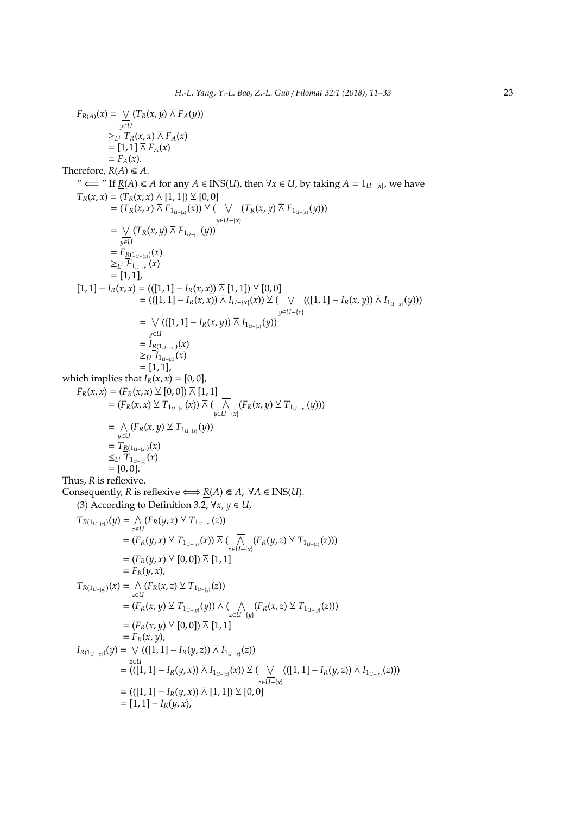$F_{\underline{R}(A)}(x) = \bigvee$ *y*∈*U*  $(T_R(x, y) \barwedge F_A(y))$  $\geq_L$ <sup>*I*</sup>  $T_R(x, x) \barwedge F_A(x)$  $=[1, 1] \overline{\wedge} F_A(x)$  $= F_A(x)$ . Therefore,  $\underline{R}(A) \in A$ . "  $\leftarrow$  " If *R*(*A*) ∈ *A* for any *A* ∈ INS(*U*), then ∀*x* ∈ *U*, by taking *A* = 1<sub>*U*−{*x*}</sub>, we have  $T_R(x, x) = (T_R(x, x) \overline{\wedge} [1, 1]) \vee [0, 0]$ =  $(T_R(x, x) \barwedge F_{1_{U-}(x)}(x))$  ⊻ ( ∨ *y*∈*U*−{*x*} (*T*<sub>*R*</sub>(*x*, *y*)  $\bar{\wedge}$  *F*<sub>1*U*−{*x*}</sub>(*y*)))  $=$   $\vee$ *y*∈*U*  $(T_R(x, y) \barwedge F_{1_{U- {x}}(y)})$  $= F_{R(1_{U-[x]})}(x)$  $≥_{L}$ *i*  $F_{1_{U-[x]}}(x)$  $=[1, 1]$  $[1, 1] - I_R(x, x) = (([1, 1] - I_R(x, x)) \bar{w}[1, 1]) \vee [0, 0]$  $= (([1, 1] - I_R(x, x)) \overline{\wedge} I_{U-[x]}(x)) \vee ($  ∨ *y*∈*U*−{*x*}  $(((1, 1] - I<sub>R</sub>(x, y)) \overlinewedge} I<sub>1<sub>U−(x)</sub></sub>(y)))$  $=$   $\vee$ *y*∈*U* (([1, 1] − *I*<sub>*R*</sub>(*x*, *y*))  $\bar{\wedge}$  *I*<sub>1*U*−{*x*}</sub>(*y*))  $= I_{R(1_{U-1}x)}(x)$  $≥_{L}$ <sup>*I*</sup>  $I$ <sub>*U*−{*x*}</sub> $(x)$  $= [1, 1],$ which implies that  $I_R(x, x) = [0, 0]$ ,  $F_R(x, x) = (F_R(x, x) \veeeq [0, 0]) \wedgeeq[1, 1]$  $=(F_R(x, x) \vee T_{1_{U- {x}}(x)}(x)) \wedge ($  ∧ *y*∈*U−*{*x*}</sub> (*F*<sub>*R*</sub>(*x*, *y*) ⊻ *T*<sub>1*U−*{*x*}</sub> (*y*)))  $=$   $\wedge$  $\overline{\bigwedge}_{y\in U}$  (*F*<sub>*R*</sub>(*x*, *y*)  $\vee$  *T*<sub>1*U*−{*x*}</sub>(*y*))  $=T_{\underline{R}(1_{U-[x]})}(x)$  $\leq$ <sup>*L*</sup> *I*<sup>*T*</sup><sub>1*U*−{*x*}</sub> $(x)$  $=[0, 0].$ Thus, *R* is reflexive. Consequently, *R* is reflexive  $\Longleftrightarrow$  *R*(*A*)  $\in$  *A*,  $\forall$ *A*  $\in$  INS(*U*). (3) According to Definition 3.2,  $\forall x, y \in U$ ,  $T_{\underline{R}(1_{U-[x]})}(y) = \bigwedge$  $\overline{\bigwedge}_{z\in U}$  (*F*<sub>*R*</sub>(*y*, *z*)  $\vee$  *T*<sub>1*U*−{*x*}</sub>(*z*))  $=(F_R(y, x) \vee T_{1_{U- {x}}(x)}(x)) \wedge ($  ∧  $\overline{\bigwedge}_{z\in U-\{x\}}(F_R(y,z)\veebar T_{1_{U- \{x\}}}(z)))$  $=(F_R(y, x) \veeeq [0, 0]) \bar{w} [1, 1]$  $= F_R(y, x)$ ,  $T_{\underline{R}(1_{U-[y]})}(x) = \bigwedge$  $\overline{\bigwedge}_{z\in U}$  (*F*<sub>*R*</sub>(*x*, *z*)  $\vee$  *T*<sub>1*U*−{*y*}</sub>(*z*))  $=(F_R(x, y) \vee T_{1_{U-{y\}}}(y)) \wedge ($  ∧  $\overline{\bigwedge}_{z \in U - \{y\}} (F_R(x,z) \vee T_1$ <sub>*U−*{*y*}</sub>(*z*)))  $=(F_R(x, y) \veeeq [0, 0]) \times [1, 1]$  $= F_R(x, y)$ , *I*<sup>R</sup>(1<sub>*U*−{*x*}</sub>)(*y*) = ∨ *z*∈*U*  $(([1, 1] - I_R(y, z)) \overline{\wedge} I_{1_{U-[x]}}(z))$  $=$  (([1, 1] − *I<sub>R</sub>*(*y, x*))  $\bar{\wedge}$  *I*<sub>1*U*−{*x*}</sub>(*x*)) ⊻ ( ∨ *z*∈*U*−{*x*}  $(([1, 1] - I_R(y, z)) \overline{\wedge} I_{1_{U-[x]}}(z)))$  $= (((1, 1) - I_R(y, x)) \overline{\wedge} [1, 1]) \vee [0, 0]$  $=[1, 1] - I_R(y, x),$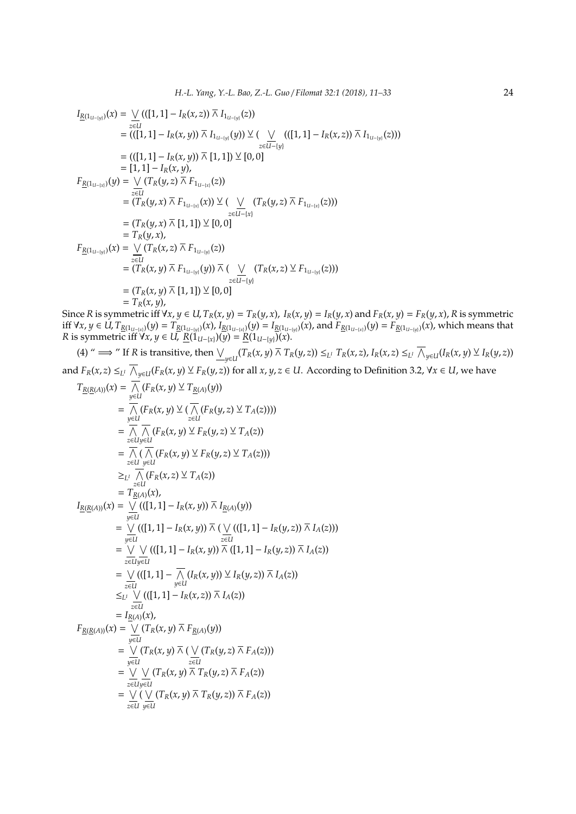$$
I_{\underline{R}(1_{U-[y]})}(x) = \bigvee_{z \in U} (([1, 1] - I_R(x, z)) \bar{\wedge} I_{1_{U-[y]}}(z))
$$
  
\n
$$
= (([1, 1] - I_R(x, y)) \bar{\wedge} I_{1_{U-[y]}}(y)) \vee (\bigvee_{z \in U-[y]} (([1, 1] - I_R(x, z)) \bar{\wedge} I_{1_{U-[y]}}(z)))
$$
  
\n
$$
= (([1, 1] - I_R(x, y)) \bar{\wedge} [1, 1]) \vee [0, 0]
$$
  
\n
$$
= [1, 1] - I_R(x, y),
$$
  
\n
$$
F_{\underline{R}(1_{U-[x]})}(y) = \bigvee_{z \in U} (T_R(y, z) \bar{\wedge} F_{1_{U-[x]}}(z))
$$
  
\n
$$
= (T_R(y, x) \bar{\wedge} F_{1_{U-[x]}}(x)) \vee ( \bigvee_{z \in U-[x]} (T_R(y, z) \bar{\wedge} F_{1_{U-[x]}}(z)))
$$
  
\n
$$
= T_R(y, x),
$$
  
\n
$$
F_{\underline{R}(1_{U-[y]})}(x) = \bigvee_{z \in U} (T_R(x, z) \bar{\wedge} F_{1_{U-[y]}}(z))
$$
  
\n
$$
= (T_R(x, y) \bar{\wedge} F_{1_{U-[y]}}(y)) \bar{\wedge} (\bigvee_{z \in U-[y]} (T_R(x, z) \vee F_{1_{U-[y]}}(z)))
$$
  
\n
$$
= (T_R(x, y) \bar{\wedge} [1, 1]) \vee [0, 0]
$$
  
\n
$$
= T_R(x, y),
$$

Since R is symmetric iff  $\forall x, y \in U$ ,  $T_R(x, y) = T_R(y, x)$ ,  $I_R(x, y) = I_R(y, x)$  and  $F_R(x, y) = F_R(y, x)$ , R is symmetric iff  $\forall x, y \in U$ ,  $T_{\underline{R}(1_{U-[x]})}(y) = T_{\underline{R}(1_{U-[y]})}(x)$ ,  $I_{\underline{R}(1_{U-[x]})}(y) = I_{\underline{R}(1_{U-[y]})}(x)$ , and  $F_{\underline{R}(1_{U-[x]})}(y) = F_{\underline{R}(1_{U-[y]})}(x)$ , which means that *R* is symmetric iff  $\forall x, y \in U$ ,  $\underline{R}(\overline{1}_{U-[x]})(y) = \underline{R}(1_{U-[y]})(x)$ .

(4) " 
$$
\implies
$$
 " If *R* is transitive, then  $\underbrace{\bigvee_{y \in U} (T_R(x, y) \land T_R(y, z))} \leq_{L^1} T_R(x, z), I_R(x, z) \leq_{L^1} \overline{\bigwedge}_{y \in U} (I_R(x, y) \vee I_R(y, z))$   
and  $F_R(x, z) \leq_{L^1} \overline{\bigwedge}_{y \in U} (F_R(x, y) \vee F_R(y, z))$  for all  $x, y, z \in U$ . According to Definition 3.2,  $\forall x \in U$ , we have

$$
T_{\underline{R}(\underline{R}(A))}(x) = \frac{1}{\sqrt{N}}(F_R(x, y) \vee T_{\underline{R}(A)}(y))
$$
  
\n
$$
= \frac{1}{\sqrt{N}}(F_R(x, y) \vee (\frac{1}{\sqrt{N}}(F_R(y, z) \vee T_A(z))))
$$
  
\n
$$
= \frac{1}{\sqrt{N}}(\frac{1}{\sqrt{N}}(F_R(x, y) \vee F_R(y, z) \vee T_A(z)))
$$
  
\n
$$
= \frac{1}{\sqrt{N}}(\frac{1}{\sqrt{N}}(F_R(x, y) \vee F_R(y, z) \vee T_A(z)))
$$
  
\n
$$
\geq_{\underline{L}U} \frac{1}{\sqrt{N}}(F_R(x, z) \vee T_A(z))
$$
  
\n
$$
= T_{\underline{R}(A)}(x),
$$
  
\n
$$
I_{\underline{R}(\underline{R}(A))}(x) = \frac{1}{\sqrt{N}}((1, 1) - I_R(x, y)) \wedge I_{\underline{R}(A)}(y))
$$
  
\n
$$
= \frac{1}{\sqrt{N}}((1, 1) - I_R(x, y)) \wedge (\frac{1}{N}((1, 1) - I_R(y, z)) \wedge I_A(z)))
$$
  
\n
$$
= \frac{1}{\sqrt{N}}((1, 1) - I_R(x, y)) \wedge (1, 1) - I_R(y, z)) \wedge I_A(z))
$$
  
\n
$$
= \frac{1}{\sqrt{N}}((1, 1) - \frac{1}{N}(I_R(x, y)) \vee I_R(y, z)) \wedge I_A(z))
$$
  
\n
$$
= \frac{1}{\sqrt{N}}((1, 1) - I_R(x, z)) \wedge I_A(z))
$$
  
\n
$$
\leq_{\underline{L}U} \frac{1}{\sqrt{N}}((1, 1) - I_R(x, z)) \wedge I_A(z))
$$
  
\n
$$
= I_{\underline{R}(A)}(x),
$$
  
\n
$$
F_{\underline{R}(\underline{R}(A))}(x) = \frac{1}{\sqrt{N}}(I_R(x, y) \wedge F_{\underline{R}(A)}(y))
$$
  
\n
$$
= \frac{1}{\sqrt{N}}(I_R(x, y) \wedge (I
$$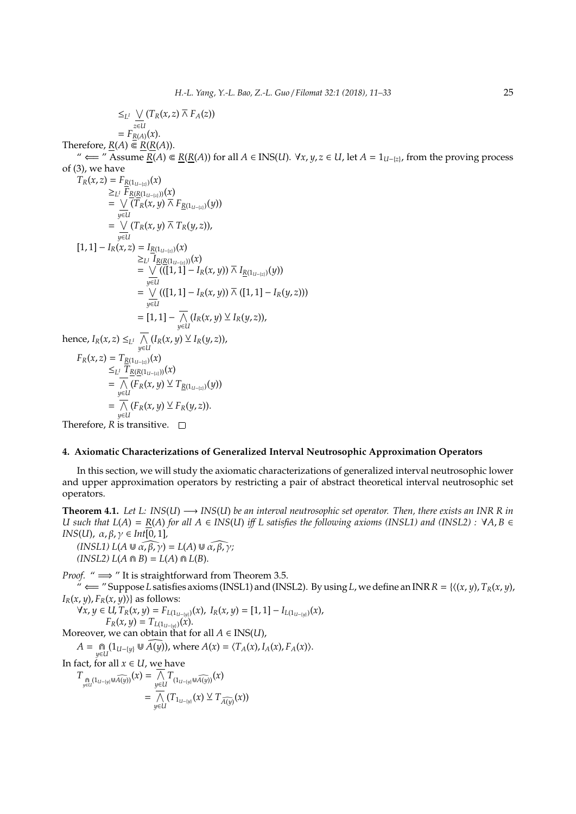$$
\leq_{L^{1}} \bigvee_{z \in L} (T_{R}(x,z) \overline{\wedge} F_{A}(z))
$$
\n=  $F_{R(A)}(x).$   
\nTherefore,  $\underline{R}(A) \in \underline{R}(R(A)).$   
\n $\text{wherefore, } \underline{R}(A) \in \underline{R}(R(A)).$   
\n $\text{Therefore, } \underline{R}(A) \in \underline{R}(R(A)).$   
\n $\text{Therefore, } \underline{R}(A) \in \underline{R}(R(A))$   
\n $\text{or } \underline{R}(x,z) = F_{R(1u-|z)}(x)$   
\n $\geq_{L^{1}} F_{R(R(1u-|z)}(x)$   
\n $= \bigvee_{y \in L} (T_{R}(x,y) \overline{\wedge} T_{R}(y,z)),$   
\n $= \bigvee_{y \in L} (T_{R}(x,y) \overline{\wedge} T_{R}(y,z)),$   
\n $= \bigvee_{y \in L} ((1,1) - I_{R}(x,y)) \overline{\wedge} I_{\underline{R}(1u-|z)}(y))$   
\n $= \bigvee_{y \in L} ((1,1) - I_{R}(x,y)) \overline{\wedge} I_{\underline{R}(1u-|z)}(y))$   
\n $= \bigvee_{y \in L} ((1,1) - I_{R}(x,y)) \overline{\wedge} (1,1) - I_{R}(y,z))$   
\n $= [1,1] - \overline{\wedge} (I_{R}(x,y) \vee I_{R}(y,z)),$   
\nhence,  $I_{R}(x,z) \leq_{L^{1}} \overline{\wedge} (I_{R}(x,y) \vee I_{R}(y,z)),$   
\n $F_{R}(x,z) = T_{R(1u-|z)}(x)$   
\n $\leq_{L^{1}} \overline{T}_{R(R(1u-|z)}(x)$   
\n $\leq_{L^{1}} \overline{T}_{R(R(1u-|z)}(x)$   
\n $= \bigwedge_{y \in L} (I_{R}(x,y) \vee T_{R}(y,z)).$   
\nTherefore,  $R$  is transitive.  $\square$   
\n**Therefore,  $R$  is transitive.  $\square$   
\n**4. Axiomatic****

In this section, we will study the axiomatic characterizations of generalized interval neutrosophic lower and upper approximation operators by restricting a pair of abstract theoretical interval neutrosophic set operators.

**Theorem 4.1.** *Let L: INS*(*U*) −→ *INS*(*U*) *be an interval neutrosophic set operator. Then, there exists an INR R in U* such that  $L(A) = R(A)$  for all  $A ∈ INS(U)$  iff  $L$  satisfies the following axioms (INSL1) and (INSL2) :  $VA, B ∈$ *INS*(*U*),  $\alpha, \beta, \gamma \in Int[0, 1]$ ,

 $(INSL1) L(A \cup \widehat{\alpha, \beta, \gamma}) = L(A) \cup \widehat{\alpha, \beta, \gamma};$  $(INSL2) L(A \cap B) = L(A) \cap L(B).$ 

*Proof.* " ⇒ " It is straightforward from Theorem 3.5.

 $\phi$   $\leftrightarrow$  " Suppose *L* satisfies axioms (INSL1) and (INSL2). By using *L*, we define an INR  $R = \{(x, y), T_R(x, y),$  $I_R(x, y)$ ,  $F_R(x, y)$ } as follows:

*∀x*, *y* ∈ *U*,  $T_R(x, y) = F_{L(1_{U-{y}})}(x)$ ,  $I_R(x, y) = [1, 1] - I_{L(1_{U-{y}})}(x)$ ,  $F_R(x, y) = T_{L(1_{U-[y]})}(x).$ 

Moreover, we can obtain that for all  $A \in INS(U)$ ,

 $A = \bigcap_{y \in U} (1_{U-{\{y\}}} \cup \widehat{A(y)})$ , where  $A(x) = \langle T_A(x), I_A(x), F_A(x) \rangle$ .

In fact, for all  $x \in U$ , we have

$$
T_{\underset{y\in U}{\bigcap}}(1_{U-[y]}\cup \widehat{A(y)})}(x) = \underset{y\in U}{\bigwedge} T_{(1_{U-[y]}\cup \widehat{A(y)})}(x)
$$
  
= 
$$
\underset{y\in U}{\bigwedge} (T_{1_{U-[y]}}(x) \vee T_{\widehat{A(y)}}(x))
$$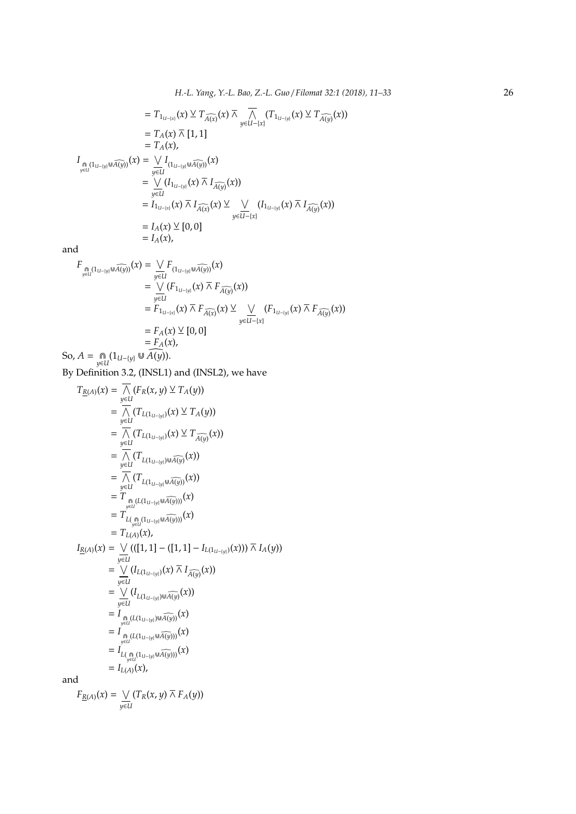*H.-L. Yang, Y.-L. Bao, Z.-L. Guo* / *Filomat 32:1 (2018), 11–33* 26

$$
= T_{1_{U-1(x)}}(x) \vee T_{\widehat{A(x)}}(x) \overline{\wedge} \overline{\wedge} (T_{1_{U-1(y)}}(x) \vee T_{\widehat{A(y)}}(x))
$$
  
\n
$$
= T_A(x) \overline{\wedge} [1,1]
$$
  
\n
$$
= T_A(x),
$$
  
\n
$$
I_{\underset{y \in U}{\text{min}}(1_{U-1|y|} \cup \widehat{A(y)})}(x) = \underset{y \in U}{\vee} I_{(1_{U-1|y|} \cup \widehat{A(y)})}(x)
$$
  
\n
$$
= \underset{y \in U}{\vee} (I_{1_{U-1|y}}(x) \overline{\wedge} I_{\widehat{A(y)}}(x))
$$
  
\n
$$
= I_{1_{U-1(x)}}(x) \overline{\wedge} I_{\widehat{A(x)}}(x) \vee \underset{y \in U-1(x)}{\vee} (I_{1_{U-1|y}}(x) \overline{\wedge} I_{\widehat{A(y)}}(x))
$$
  
\n
$$
= I_A(x) \vee [0,0]
$$
  
\n
$$
= I_A(x),
$$

and

$$
F_{\underset{y \in U}{\underset{y \in U}{\underset{y \in U}{\underset{y \in U}{\underset{y \in U}{\underset{y \in U}}}}}}(x) = \underset{y \in U}{\underset{y \in U}{\underset{y \in U}{\cup}} F_{(1_{U - \{y\}} \cup \widehat{A(y)})}}(x)
$$
\n
$$
= \underset{y \in U}{\underset{y \in U}{\cup}} (F_{1_{U - \{y\}}}(x) \overline{\wedge} F_{\widehat{A(y)}}(x))
$$
\n
$$
= F_{1_{U - \{x\}}}(x) \overline{\wedge} F_{\widehat{A(x)}}(x) \underline{\vee} \underset{y \in U - \{x\}}{\underset{y \in U - \{x\}}{\cup}} (F_{1_{U - \{y\}}}(x) \overline{\wedge} F_{\widehat{A(y)}}(x))
$$
\n
$$
= F_A(x) \underline{\vee} [0, 0]
$$
\nSo,  $A = \underset{y \in U}{\underset{y \in U}{\underset{y \in U}{\bigcap}} (1_{U - \{y\}} \cup \widehat{A(y)}).$ 

By Definition 3.2, (INSL1) and (INSL2), we have

$$
T_{\underline{R}(A)}(x) = \frac{1}{\sqrt{N}} (F_R(x, y) \vee T_A(y))
$$
  
\n
$$
= \frac{1}{\sqrt{N}} (T_{L(1_{U-1|y})}(x) \vee T_A(y))
$$
  
\n
$$
= \frac{1}{\sqrt{N}} (T_{L(1_{U-1|y})}(x) \vee T_{\widehat{A(y)}}(x))
$$
  
\n
$$
= \frac{1}{\sqrt{N}} (T_{L(1_{U-1|y}) \cup \widehat{A(y)}}(x))
$$
  
\n
$$
= \frac{1}{\sqrt{N}} (T_{L(1_{U-1|y)} \cup \widehat{A(y)}}(x))
$$
  
\n
$$
= T_{\substack{y \in U \\ y \in U}} (T_{L(1_{U-1|y)} \cup \widehat{A(y)}})(x)
$$
  
\n
$$
= T_{L(\widehat{A})} (1_{U-1|y)} (1_{V-1|y}) (1_{V-1|y}) (1_{V-1|y}) (1_{V-1|y}) (1_{V-1|y}) (1_{V-1|y}) (1_{V-1|y}) (1_{V-1|y}) (1_{V-1|y}) (1_{V-1|y}) (1_{V-1|y}) (1_{V-1|y}) (1_{V-1|y}) (1_{V-1|y}) (1_{V-1|y}) (1_{V-1|y}) (1_{V-1|y}) (1_{V-1|y}) (1_{V-1|y}) (1_{V-1|y}) (1_{V-1|y}) (1_{V-1|y}) (1_{V-1|y}) (1_{V-1|y}) (1_{V-1|y}) (1_{V-1|y}) (1_{V-1|y}) (1_{V-1|y}) (1_{V-1|y}) (1_{V-1|y}) (1_{V-1|y}) (1_{V-1|y}) (1_{V-1|y}) (1_{V-1|y}) (1_{V-1|y}) (1_{V-1|y}) (1_{V-1|y}) (1_{V-1|y}) (1_{V-1|y}) (1_{V-1|y}) (1_{V-1|y}) (1_{V-1|y}) (1_{V-1|y}) (1_{V-1|y}) (1_{V-1|y}) (1_{V-1|y}) (1_{V-1|y}) (1_{V-1|y}) (1_{V-1|y})
$$

*y*∈*U*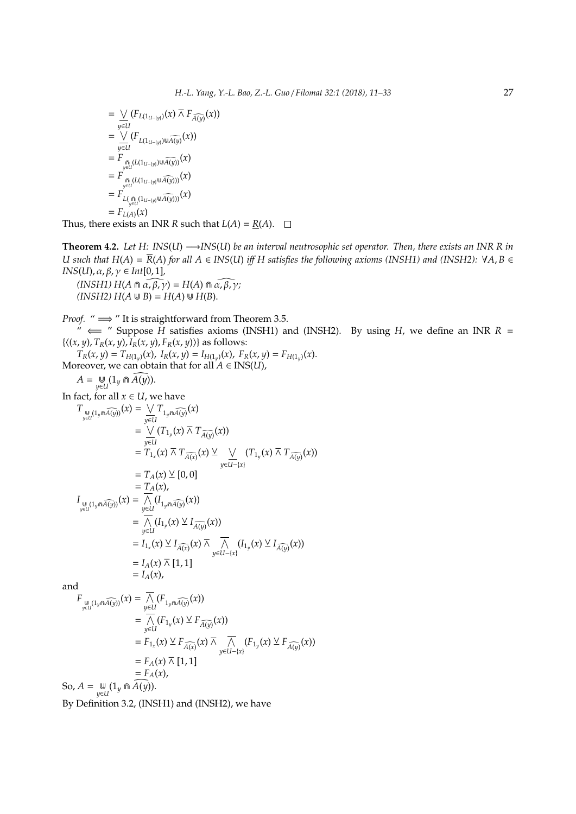$$
= \bigvee_{y \in U} (F_{L(1_{U- \{y\}})}(x) \overline{\wedge} F_{\widehat{A(y)}}(x))
$$
  
\n
$$
= \bigvee_{y \in U} (F_{L(1_{U- \{y\}}) \cup \widehat{A(y)}}(x))
$$
  
\n
$$
= F_{\underset{y \in U}{\bigcap (L(1_{U- \{y\}}) \cup \widehat{A(y)})}}(x)
$$
  
\n
$$
= F_{\underset{y \in U}{\bigcap (L(1_{U- \{y\}} \cup \widehat{A(y)}))}}(x)
$$
  
\n
$$
= F_{L(\underset{y \in U}{\bigcap (1_{U- \{y\}} \cup \widehat{A(y)}))}}(x)
$$
  
\n
$$
= F_{L(A)}(x)
$$

Thus, there exists an INR *R* such that  $L(A) = R(A)$ .  $\square$ 

**Theorem 4.2.** *Let H: INS*(*U*) −→*INS*(*U*) *be an interval neutrosophic set operator. Then, there exists an INR R in U* such that  $H(A) = \overline{R}(A)$  for all  $A \in INS(U)$  *iff*  $H$  satisfies the following axioms (INSH1) and (INSH2): ∀A, B ∈ *INS*(*U*), α, β, γ ∈ *Int*[0, 1],

 $(INSH1) H(A \cap \widehat{\alpha, \beta, \gamma}) = H(A) \cap \widehat{\alpha, \beta, \gamma};$  $(INSH2) H(A \cup B) = H(A) \cup H(B).$ 

*Proof.* " ⇒ " It is straightforward from Theorem 3.5.

 $\check{H}$   $\iff$  " Suppose  $\check{H}$  satisfies axioms (INSH1) and (INSH2). By using *H*, we define an INR *R* =  $\{\langle(x, y), T_R(x, y), I_R(x, y), F_R(x, y)\rangle\}$  as follows:

$$
T_R(x, y) = T_{H(1_y)}(x), I_R(x, y) = I_{H(1_y)}(x), F_R(x, y) = F_{H(1_y)}(x).
$$
  
Moreover, we can obtain that for all  $A \in INS(U)$ ,

$$
A = \bigcup_{y \in U} (1_y \cap \widetilde{A(y)}).
$$

In fact, for all  $x \in U$ , we have

$$
T_{\underset{y \in U}{\bigcup (1_{y} \cap A(y))}}(x) = \underset{y \in U}{\vee} T_{1_{y} \cap A(y)}(x)
$$
  
\n
$$
= \underset{y \in U}{\vee} (T_{1_{y}}(x) \overline{\wedge} T_{\widehat{A(y)}}(x))
$$
  
\n
$$
= T_{1_{x}}(x) \overline{\wedge} T_{\widehat{A(x)}}(x) \veeeq \underset{y \in U}{\vee} (T_{1_{y}}(x) \overline{\wedge} T_{\widehat{A(y)}}(x))
$$
  
\n
$$
= T_{A}(x) \veeeq [0, 0]
$$
  
\n
$$
I_{\underset{y \in U}{\bigcup (1_{y} \cap \widehat{A(y)})}}(x) = \underset{y \in U}{\overbrace{\bigwedge (1_{1_{y} \cap \widehat{A(y)}}(x))}} (I_{1_{y}}(x))
$$
  
\n
$$
= \underset{y \in U}{\overbrace{\bigwedge (1_{1_{y}}(x) \vee I_{\widehat{A(y)}}(x))}} (I_{1_{y}}(x))
$$
  
\n
$$
= I_{1_{x}}(x) \veeeq I_{\widehat{A(x)}}(x) \overline{\wedge} \underset{y \in U-[x]}{\overbrace{\bigwedge (1_{1_{y}}(x) \vee I_{\widehat{A(y)}}(x))}} (I_{1_{y}}(x) \vee I_{\widehat{A(y)}}(x))
$$
  
\n
$$
= I_{A}(x) \overline{\wedge} [1, 1]
$$
  
\n
$$
= I_{A}(x),
$$

and

$$
F_{\underset{y \in U}{\text{up}}}(\mathbf{1}_{y \cap \widehat{A(y)}}(x)) = \overline{\bigwedge_{y \in U}}(F_{\mathbf{1}_{y \cap \widehat{A(y)}}}(x))
$$
  
\n
$$
= \overline{\bigwedge_{y \in U}}(F_{\mathbf{1}_{y}}(x) \vee F_{\widehat{A(y)}}(x))
$$
  
\n
$$
= F_{\mathbf{1}_{x}}(x) \vee F_{\widehat{A(x)}}(x) \overline{\bigwedge_{y \in U^{-}(x)}}(F_{\mathbf{1}_{y}}(x) \vee F_{\widehat{A(y)}}(x))
$$
  
\n
$$
= F_{A}(x) \overline{\bigwedge} [1,1]
$$
  
\nSo,  $A = \bigcup_{y \in U} (\mathbf{1}_{y} \cap \widehat{A(y)}).$ 

By Definition 3.2, (INSH1) and (INSH2), we have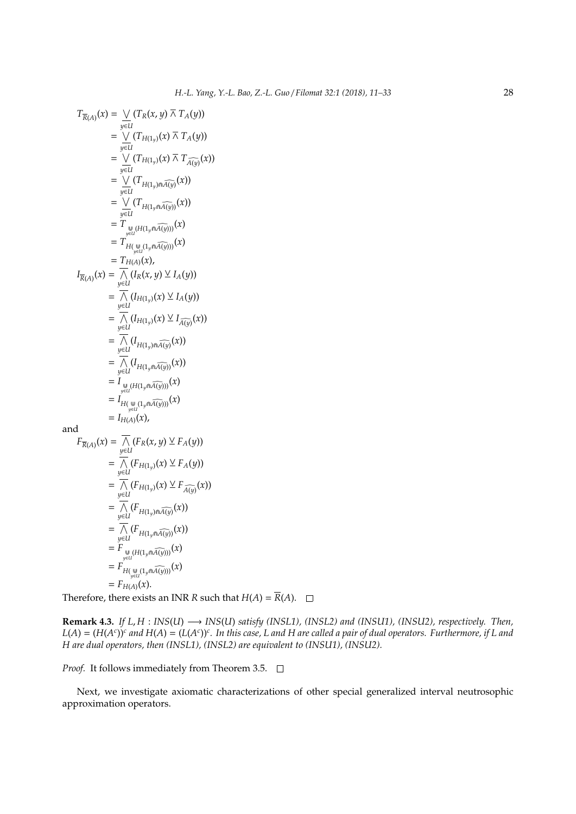$$
T_{\overline{R}(A)}(x) = \bigvee_{y \in U} (T_R(x, y) \overline{\wedge} T_A(y))
$$
  
\n
$$
= \bigvee_{y \in U} (T_{H(1_y)}(x) \overline{\wedge} T_A(y))
$$
  
\n
$$
= \bigvee_{y \in U} (T_{H(1_y)}(x) \overline{\wedge} T_{\widehat{A}(y)}(x))
$$
  
\n
$$
= \bigvee_{y \in U} (T_{H(1_y) \cap \widehat{A}(y)}(x))
$$
  
\n
$$
= \bigvee_{y \in U} (T_{H(1_y \cap \widehat{A}(y))}(x))
$$
  
\n
$$
= T_{\overline{H(\bigcup_{y \in U} (1_y \cap \widehat{A}(y))})}(x)
$$
  
\n
$$
= T_{H(A)}(x),
$$
  
\n
$$
I_{\overline{R}(A)}(x) = \overline{\bigwedge_{y \in U} (I_R(x, y) \vee I_A(y))}
$$
  
\n
$$
= \overline{\bigwedge_{y \in U} (I_{H(1_y)}(x) \vee I_A(y))}
$$
  
\n
$$
= \overline{\bigwedge_{y \in U} (I_{H(1_y)}(x) \vee I_{\widehat{A}(y)}(x))}
$$
  
\n
$$
= \overline{\bigwedge_{y \in U} (I_{H(1_y)}(x))} (x))
$$
  
\n
$$
= \overline{\bigwedge_{y \in U} (I_{H(1_y) \cap \widehat{A}(y))} (x))}
$$
  
\n
$$
= I_{\overline{H(\bigcup_{y \in U} (1_y \cap \widehat{A}(y))})} (x)
$$
  
\n
$$
= I_{H(A)}(x),
$$
  
\nand  
\n
$$
F_{\overline{R}(A)}(x) = \overline{\bigwedge_{y \in U} (F_R(x, y) \vee F_A(y))}
$$
  
\n
$$
= \overline{I_{H(H_1)}(I_{H_1}(x) \vee I_{\overline{A}(y))} (x)
$$
  
\n
$$
= \overline{I_{H(H_1)}(I_{H_1}(x) \vee I_{\overline{A}(y))} (x)
$$

$$
= \overline{\bigwedge_{y\in U}} (F_{H(1_y)}(x) \vee F_A(y))
$$
  
\n
$$
= \overline{\bigwedge_{y\in U}} (F_{H(1_y)}(x) \vee F_{\widehat{A(y)}})
$$
  
\n
$$
= \overline{\bigwedge_{y\in U}} (F_{H(1_y)\cap \widehat{A(y)}}(x))
$$
  
\n
$$
= \overline{\bigwedge_{y\in U}} (F_{H(1_y\cap \widehat{A(y)})}(x))
$$
  
\n
$$
= F_{\bigcup_{y\in U} (H(1_y\cap \widehat{A(y)}))}(x)
$$
  
\n
$$
= F_{H(A)}(x).
$$

Therefore, there exists an INR *R* such that  $H(A) = \overline{R}(A)$ .  $\square$ 

**Remark 4.3.** *If L*, *H* : *INS*(*U*) −→ *INS*(*U*) *satisfy (INSL1), (INSL2) and (INSU1), (INSU2), respectively. Then,*  $L(A) = (H(A^c))^c$  and  $H(A) = (L(A^c))^c$ . In this case, L and H are called a pair of dual operators. Furthermore, if L and *H are dual operators, then (INSL1), (INSL2) are equivalent to (INSU1), (INSU2).*

*Proof.* It follows immediately from Theorem 3.5.  $\Box$ 

Next, we investigate axiomatic characterizations of other special generalized interval neutrosophic approximation operators.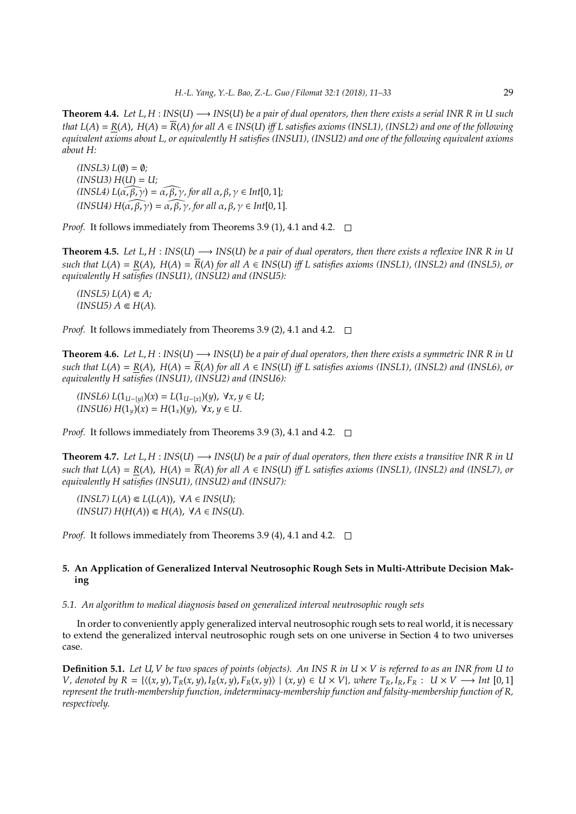**Theorem 4.4.** *Let L*, *H* : *INS*(*U*) −→ *INS*(*U*) *be a pair of dual operators, then there exists a serial INR R in U such that*  $L(A) = R(A)$ ,  $H(A) = R(A)$  *for all*  $A \in INS(U)$  *iff*  $L$  *satisfies axioms (INSL1), (INSL2) and one of the following equivalent axioms about L, or equivalently H satisfies (INSU1), (INSU2) and one of the following equivalent axioms about H:*

*<i>; (INSU3) H*(*U*) = *U;*  $(INSL4) L(\alpha, \beta, \gamma) = \alpha, \beta, \gamma$ , for all  $\alpha, \beta, \gamma \in Int[0, 1]$ ;  $(INSU4) H(\widehat{\alpha, \beta, \gamma}) = \widehat{\alpha, \beta, \gamma}$ , for all  $\alpha, \beta, \gamma \in Int[0, 1]$ .

*Proof.* It follows immediately from Theorems 3.9 (1), 4.1 and 4.2. □

**Theorem 4.5.** Let  $L, H : INS(U) \longrightarrow INS(U)$  be a pair of dual operators, then there exists a reflexive INR R in U *such that L(A)* =  $R(A)$ ,  $H(A) = \overline{R}(A)$  *for all*  $A \in INS(U)$  *iff L satisfies axioms (INSL1), (INSL2) and (INSL5), or equivalently H satisfies (INSU1), (INSU2) and (INSU5):*

 $$  $(INSU5) A \in H(A)$ .

*Proof.* It follows immediately from Theorems 3.9 (2), 4.1 and 4.2.  $\Box$ 

**Theorem 4.6.** *Let L, H* :  $INS(U) \rightarrow INS(U)$  *be a pair of dual operators, then there exists a symmetric INR R in U such that*  $L(A) = R(A)$ *,*  $H(A) = \overline{R}(A)$  *for all*  $A \in INS(U)$  *iff*  $L$  *satisfies axioms (INSL1), (INSL2) and (INSL6), or equivalently H satisfies (INSU1), (INSU2) and (INSU6):*

*(INSL6) L*(1*U*−{*y*})(*x*) = *L*(1*U*−{*x*})(*y*), ∀*x*, *y* ∈ *U*;  $(HNSU6) H(1<sub>y</sub>)(x) = H(1<sub>x</sub>)(y), \forall x, y \in U.$ 

*Proof.* It follows immediately from Theorems 3.9 (3), 4.1 and 4.2. □

**Theorem 4.7.** Let  $L, H: INS(U) \rightarrow INS(U)$  be a pair of dual operators, then there exists a transitive INR R in U *such that L(A)* =  $R(A)$ ,  $H(A) = \overline{R}(A)$  *for all*  $A \in INS(U)$  *iff L satisfies axioms (INSL1), (INSL2) and (INSL7), or equivalently H satisfies (INSU1), (INSU2) and (INSU7):*

 $(LNSL7) L(A) \in L(L(A)), \forall A \in INS(U);$  $(HNSU7)$   $H(H(A)) \n∈ H(A)$ ,  $\forall A \in INS(U)$ .

*Proof.* It follows immediately from Theorems 3.9 (4), 4.1 and 4.2. □

# **5. An Application of Generalized Interval Neutrosophic Rough Sets in Multi-Attribute Decision Making**

## *5.1. An algorithm to medical diagnosis based on generalized interval neutrosophic rough sets*

In order to conveniently apply generalized interval neutrosophic rough sets to real world, it is necessary to extend the generalized interval neutrosophic rough sets on one universe in Section 4 to two universes case.

**Definition 5.1.** Let U, V be two spaces of points (objects). An INS R in  $U \times V$  is referred to as an INR from U to V, denoted by  $R = \{(x, y), T_R(x, y), I_R(x, y), F_R(x, y)\}\ (x, y) \in U \times V\}$ , where  $T_R, I_R, F_R : U \times V \longrightarrow Int [0,1]$ *represent the truth-membership function, indeterminacy-membership function and falsity-membership function of R, respectively.*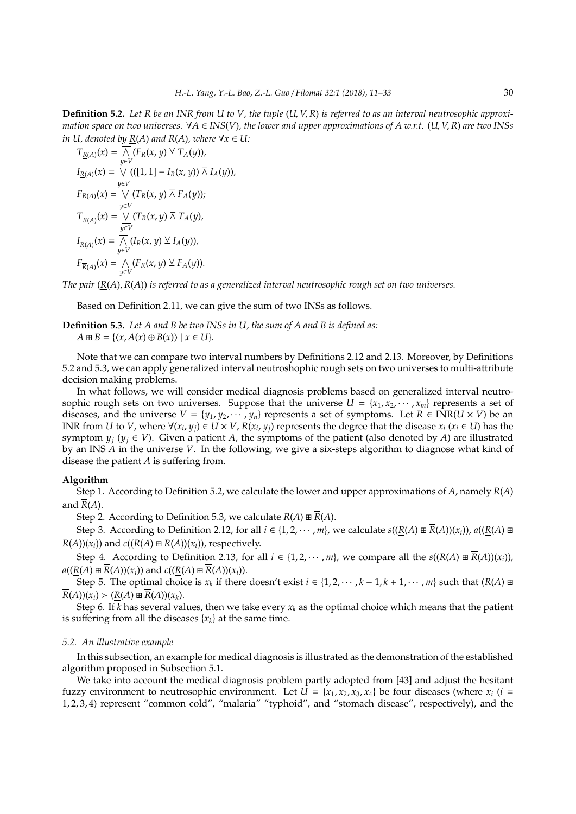**Definition 5.2.** *Let R be an INR from U to V, the tuple* (*U*, *V*,*R*) *is referred to as an interval neutrosophic approximation space on two universes.*  $\forall A \in INS(V)$ , the lower and upper approximations of A w.r.t. (U, V, R) are two INSs *in U, denoted by*  $R(A)$  *and*  $\overline{R}(A)$ *, where*  $\forall x \in U$ *:* 

$$
T_{\underline{R}(A)}(x) = \overline{\bigwedge_{y \in V} (F_R(x, y) \vee T_A(y))},
$$
  
\n
$$
I_{\underline{R}(A)}(x) = \bigvee_{y \in V} (([1, 1] - I_R(x, y)) \overline{\wedge} I_A(y)),
$$
  
\n
$$
F_{\underline{R}(A)}(x) = \bigvee_{y \in V} (T_R(x, y) \overline{\wedge} F_A(y));
$$
  
\n
$$
T_{\overline{R}(A)}(x) = \bigvee_{y \in V} (T_R(x, y) \overline{\wedge} T_A(y),
$$
  
\n
$$
I_{\overline{R}(A)}(x) = \overline{\bigwedge_{y \in V} (I_R(x, y) \vee I_A(y)),}
$$
  
\n
$$
F_{\overline{R}(A)}(x) = \overline{\bigwedge_{y \in V} (F_R(x, y) \vee F_A(y)).}
$$

*The pair* (*R*(*A*),*R*(*A*)) *is referred to as a generalized interval neutrosophic rough set on two universes.*

Based on Definition 2.11, we can give the sum of two INSs as follows.

**Definition 5.3.** *Let A and B be two INSs in U, the sum of A and B is defined as:*  $A \boxplus B = \{ \langle x, A(x) \oplus B(x) \rangle \mid x \in U \}.$ 

Note that we can compare two interval numbers by Definitions 2.12 and 2.13. Moreover, by Definitions 5.2 and 5.3, we can apply generalized interval neutroshophic rough sets on two universes to multi-attribute decision making problems.

In what follows, we will consider medical diagnosis problems based on generalized interval neutrosophic rough sets on two universes. Suppose that the universe  $U = \{x_1, x_2, \dots, x_m\}$  represents a set of diseases, and the universe  $V = \{y_1, y_2, \dots, y_n\}$  represents a set of symptoms. Let  $R \in \text{INR}(U \times V)$  be an INR from U to V, where  $\forall (x_i, y_j) \in U \times V$ ,  $R(x_i, y_j)$  represents the degree that the disease  $x_i$  ( $x_i \in U$ ) has the symptom  $y_i$  ( $y_i \in V$ ). Given a patient *A*, the symptoms of the patient (also denoted by *A*) are illustrated by an INS *A* in the universe *V*. In the following, we give a six-steps algorithm to diagnose what kind of disease the patient *A* is suffering from.

### **Algorithm**

Step 1. According to Definition 5.2, we calculate the lower and upper approximations of *A*, namely *R*(*A*) and  $\overline{R}(A)$ .

Step 2. According to Definition 5.3, we calculate  $R(A) \boxplus \overline{R}(A)$ .

Step 3. According to Definition 2.12, for all  $i \in \{1, 2, \cdots, m\}$ , we calculate  $s((R(A) \boxplus R(A))(x_i))$ ,  $a((R(A) \boxplus R(A))$  $\overline{R}(A)(x_i)$  and  $c((R(A) \boxplus \overline{R}(A))(x_i))$ , respectively.

Step 4. According to Definition 2.13, for all  $i \in \{1, 2, \dots, m\}$ , we compare all the  $s((R(A) \boxplus \overline{R}(A))(x_i))$ ,  $a((R(A) \boxplus \overline{R}(A))(x_i))$  and  $c((R(A) \boxplus \overline{R}(A))(x_i)).$ 

Step 5. The optimal choice is  $x_k$  if there doesn't exist  $i \in \{1, 2, \dots, k-1, k+1, \dots, m\}$  such that  $(\underline{R}(A) \boxplus A)$  $\overline{R}(A)(x_i)$   $\geq (R(A) \boxplus \overline{R}(A))(x_k)$ .

Step 6. If *k* has several values, then we take every  $x_k$  as the optimal choice which means that the patient is suffering from all the diseases  $\{x_k\}$  at the same time.

## *5.2. An illustrative example*

In this subsection, an example for medical diagnosis is illustrated as the demonstration of the established algorithm proposed in Subsection 5.1.

We take into account the medical diagnosis problem partly adopted from [43] and adjust the hesitant fuzzy environment to neutrosophic environment. Let  $U = \{x_1, x_2, x_3, x_4\}$  be four diseases (where  $x_i$  (*i* = 1, 2, 3, 4) represent "common cold", "malaria" "typhoid", and "stomach disease", respectively), and the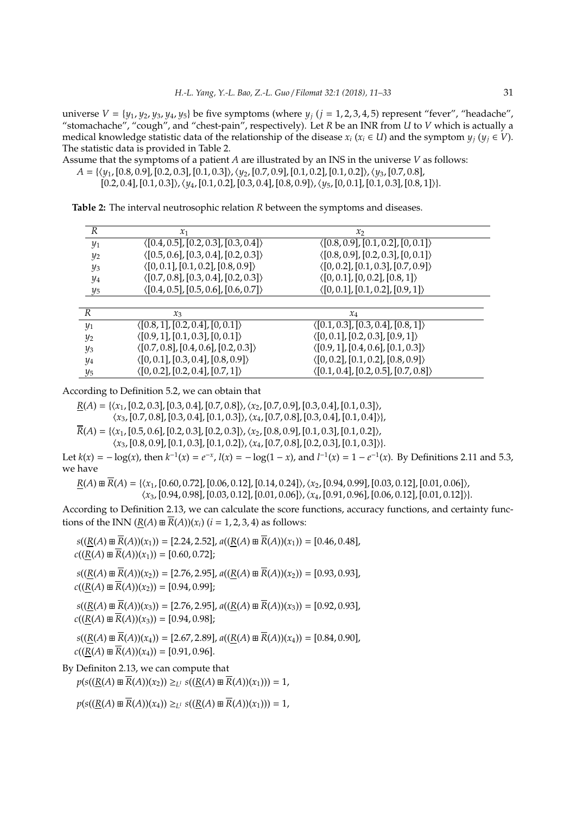universe  $V = \{y_1, y_2, y_3, y_4, y_5\}$  be five symptoms (where  $y_i$  ( $j = 1, 2, 3, 4, 5$ ) represent "fever", "headache", "stomachache", "cough", and "chest-pain", respectively). Let *R* be an INR from *U* to *V* which is actually a medical knowledge statistic data of the relationship of the disease  $x_i$  ( $x_i \in U$ ) and the symptom  $y_i$  ( $y_i \in V$ ). The statistic data is provided in Table 2.

Assume that the symptoms of a patient *A* are illustrated by an INS in the universe *V* as follows:

 $A = \{\langle y_1, [0.8, 0.9], [0.2, 0.3], [0.1, 0.3]\rangle, \langle y_2, [0.7, 0.9], [0.1, 0.2], [0.1, 0.2]\rangle, \langle y_3, [0.7, 0.8],\}$ 

[0.2, 0.4], [0.1, 0.3]),  $\langle y_4$ , [0.1, 0.2], [0.3, 0.4], [0.8, 0.9]),  $\langle y_5$ , [0, 0.1], [0.1, 0.3], [0.8, 1])}.

**Table 2:** The interval neutrosophic relation *R* between the symptoms and diseases.

| R                 | $\mathcal{X}_1$                                      | $\mathcal{X}_{2}$                                    |  |
|-------------------|------------------------------------------------------|------------------------------------------------------|--|
| $y_1$             | $\langle [0.4, 0.5], [0.2, 0.3], [0.3, 0.4] \rangle$ | $\langle [0.8, 0.9], [0.1, 0.2], [0, 0.1] \rangle$   |  |
| $y_2$             | $\langle [0.5, 0.6], [0.3, 0.4], [0.2, 0.3] \rangle$ | $\langle [0.8, 0.9], [0.2, 0.3], [0, 0.1] \rangle$   |  |
| $y_3$             | $\langle [0, 0.1], [0.1, 0.2], [0.8, 0.9] \rangle$   | $\langle [0, 0.2], [0.1, 0.3], [0.7, 0.9] \rangle$   |  |
| $\frac{y_4}{x_2}$ | $\langle [0.7, 0.8], [0.3, 0.4], [0.2, 0.3] \rangle$ | $\langle [0, 0.1], [0, 0.2], [0.8, 1] \rangle$       |  |
| $y_5$             | $\langle [0.4, 0.5], [0.5, 0.6], [0.6, 0.7] \rangle$ | $\langle [0, 0.1], [0.1, 0.2], [0.9, 1] \rangle$     |  |
|                   |                                                      |                                                      |  |
| $\boldsymbol{R}$  | $\mathcal{X}_3$                                      | $x_4$                                                |  |
| $y_1$             | $\langle [0.8, 1], [0.2, 0.4], [0, 0.1] \rangle$     | $\langle [0.1, 0.3], [0.3, 0.4], [0.8, 1] \rangle$   |  |
| $y_2$             | $\langle [0.9, 1], [0.1, 0.3], [0, 0.1] \rangle$     | $\langle [0, 0.1], [0.2, 0.3], [0.9, 1] \rangle$     |  |
| $y_3$             | $\langle [0.7, 0.8], [0.4, 0.6], [0.2, 0.3] \rangle$ | $\langle [0.9, 1], [0.4, 0.6], [0.1, 0.3] \rangle$   |  |
| $\frac{1}{4}$     | $\langle [0, 0.1], [0.3, 0.4], [0.8, 0.9] \rangle$   | $\langle [0, 0.2], [0.1, 0.2], [0.8, 0.9] \rangle$   |  |
| $\frac{1}{5}$     | $\langle [0, 0.2], [0.2, 0.4], [0.7, 1] \rangle$     | $\langle [0.1, 0.4], [0.2, 0.5], [0.7, 0.8] \rangle$ |  |

According to Definition 5.2, we can obtain that

 $\underline{R}(A) = \{\langle x_1, [0.2, 0.3], [0.3, 0.4], [0.7, 0.8]\rangle, \langle x_2, [0.7, 0.9], [0.3, 0.4], [0.1, 0.3]\rangle,$  $\langle x_3, [0.7, 0.8], [0.3, 0.4], [0.1, 0.3] \rangle, \langle x_4, [0.7, 0.8], [0.3, 0.4], [0.1, 0.4] \rangle\},$ 

 $\overline{R}(A) = \{\langle x_1, [0.5, 0.6], [0.2, 0.3], [0.2, 0.3]\rangle, \langle x_2, [0.8, 0.9], [0.1, 0.3], [0.1, 0.2]\rangle,$  $\langle x_3, [0.8, 0.9], [0.1, 0.3], [0.1, 0.2] \rangle, \langle x_4, [0.7, 0.8], [0.2, 0.3], [0.1, 0.3] \rangle\}.$ 

Let  $k(x) = -\log(x)$ , then  $k^{-1}(x) = e^{-x}$ ,  $l(x) = -\log(1-x)$ , and  $l^{-1}(x) = 1 - e^{-1}(x)$ . By Definitions 2.11 and 5.3, we have

 $R(A) \boxplus \overline{R}(A) = \{(x_1, [0.60, 0.72], [0.06, 0.12], [0.14, 0.24]\}, (x_2, [0.94, 0.99], [0.03, 0.12], [0.01, 0.06]\},$ 

 $\langle x_3, [0.94, 0.98], [0.03, 0.12], [0.01, 0.06] \rangle, \langle x_4, [0.91, 0.96], [0.06, 0.12], [0.01, 0.12] \rangle.$ 

According to Definition 2.13, we can calculate the score functions, accuracy functions, and certainty functions of the INN  $(R(A) \boxplus \overline{R}(A))(x_i)$  (*i* = 1, 2, 3, 4) as follows:

 $s((R(A) \boxplus \overline{R}(A))(x_1)) = [2.24, 2.52], a((R(A) \boxplus \overline{R}(A))(x_1)) = [0.46, 0.48],$  $c((R(A) \boxplus \overline{R}(A))(x_1)) = [0.60, 0.72];$ 

 $s((\underline{R}(A) \boxplus \overline{R}(A))(x_2)) = [2.76, 2.95],$   $a((\underline{R}(A) \boxplus \overline{R}(A))(x_2)) = [0.93, 0.93],$  $c((R(A) \boxplus \overline{R}(A))(x_2)) = [0.94, 0.99];$ 

 $s((R(A) \boxplus \overline{R}(A))(x_3)) = [2.76, 2.95], a((R(A) \boxplus \overline{R}(A))(x_3)) = [0.92, 0.93],$  $c((R(A) \boxplus \overline{R}(A))(x_3)) = [0.94, 0.98];$ 

 $s((\underline{R}(A) \boxplus \overline{R}(A))(x_4)) = [2.67, 2.89],$   $a((\underline{R}(A) \boxplus \overline{R}(A))(x_4)) = [0.84, 0.90],$  $c((R(A) \boxplus \overline{R}(A))(x_4)) = [0.91, 0.96].$ 

By Definiton 2.13, we can compute that

 $p(s((\underline{R}(A) \boxplus \overline{R}(A))(x_2)) \geq_{L^I} s((\underline{R}(A) \boxplus \overline{R}(A))(x_1))) = 1,$ 

 $p(s((\underline{R}(A) \boxplus \overline{R}(A))(x_4)) \geq_{L^1} s((\underline{R}(A) \boxplus \overline{R}(A))(x_1))) = 1,$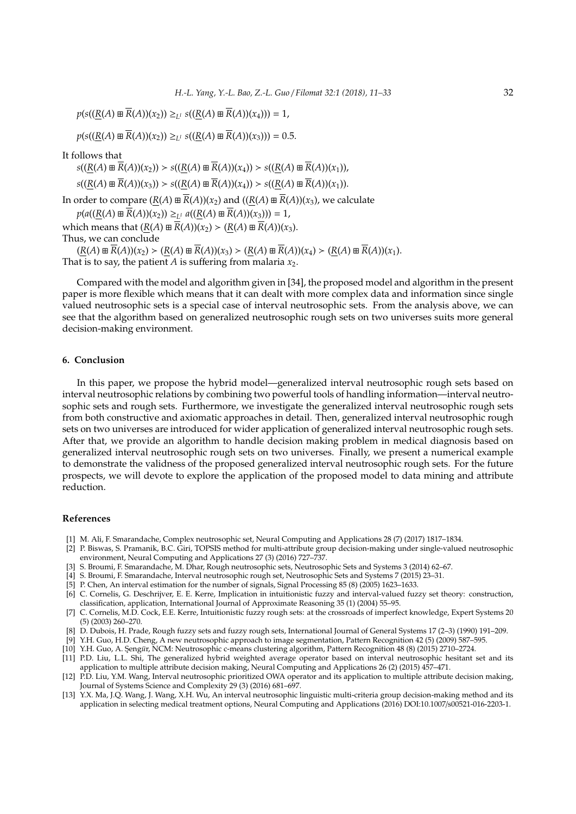$p(s((\underline{R}(A) \boxplus \overline{R}(A))(x_2)) \geq_{L^1} s((\underline{R}(A) \boxplus \overline{R}(A))(x_4))) = 1,$ 

 $p(s((R(A) \boxplus \overline{R}(A))(x_2)) \geq_{L^1} s((R(A) \boxplus \overline{R}(A))(x_3))) = 0.5.$ 

It follows that

 $s((R(A) \boxplus \overline{R}(A))(x_2)) > s((R(A) \boxplus \overline{R}(A))(x_4)) > s((R(A) \boxplus \overline{R}(A))(x_1)),$ 

 $s((R(A) \boxplus \overline{R}(A))(x_3)) > s((R(A) \boxplus \overline{R}(A))(x_4)) > s((R(A) \boxplus \overline{R}(A))(x_1)).$ 

In order to compare  $(R(A) \boxplus \overline{R}(A))(x_2)$  and  $((R(A) \boxplus \overline{R}(A))(x_3)$ , we calculate

 $p(a((\underline{R}(A) \boxplus \overline{R}(A))(x_2)) \geq_{L^1} a((\underline{R}(A) \boxplus \overline{R}(A))(x_3))) = 1,$ 

which means that  $(R(A) \boxplus \overline{R}(A))(x_2) > (R(A) \boxplus \overline{R}(A))(x_3)$ . Thus, we can conclude

 $(R(A) \boxplus \overline{R}(A))(x_2) > (R(A) \boxplus \overline{R}(A))(x_3) > (R(A) \boxplus \overline{R}(A))(x_4) > (R(A) \boxplus \overline{R}(A))(x_1).$ That is to say, the patient *A* is suffering from malaria  $x_2$ .

Compared with the model and algorithm given in [34], the proposed model and algorithm in the present paper is more flexible which means that it can dealt with more complex data and information since single valued neutrosophic sets is a special case of interval neutrosophic sets. From the analysis above, we can see that the algorithm based on generalized neutrosophic rough sets on two universes suits more general decision-making environment.

#### **6. Conclusion**

In this paper, we propose the hybrid model—generalized interval neutrosophic rough sets based on interval neutrosophic relations by combining two powerful tools of handling information—interval neutrosophic sets and rough sets. Furthermore, we investigate the generalized interval neutrosophic rough sets from both constructive and axiomatic approaches in detail. Then, generalized interval neutrosophic rough sets on two universes are introduced for wider application of generalized interval neutrosophic rough sets. After that, we provide an algorithm to handle decision making problem in medical diagnosis based on generalized interval neutrosophic rough sets on two universes. Finally, we present a numerical example to demonstrate the validness of the proposed generalized interval neutrosophic rough sets. For the future prospects, we will devote to explore the application of the proposed model to data mining and attribute reduction.

# **References**

- [1] M. Ali, F. Smarandache, Complex neutrosophic set, Neural Computing and Applications 28 (7) (2017) 1817–1834.
- [2] P. Biswas, S. Pramanik, B.C. Giri, TOPSIS method for multi-attribute group decision-making under single-valued neutrosophic environment, Neural Computing and Applications 27 (3) (2016) 727–737.
- [3] S. Broumi, F. Smarandache, M. Dhar, Rough neutrosophic sets, Neutrosophic Sets and Systems 3 (2014) 62–67.
- [4] S. Broumi, F. Smarandache, Interval neutrosophic rough set, Neutrosophic Sets and Systems 7 (2015) 23–31.
- [5] P. Chen, An interval estimation for the number of signals, Signal Processing 85 (8) (2005) 1623–1633.
- [6] C. Cornelis, G. Deschrijver, E. E. Kerre, Implication in intuitionistic fuzzy and interval-valued fuzzy set theory: construction, classification, application, International Journal of Approximate Reasoning 35 (1) (2004) 55–95.
- [7] C. Cornelis, M.D. Cock, E.E. Kerre, Intuitionistic fuzzy rough sets: at the crossroads of imperfect knowledge, Expert Systems 20 (5) (2003) 260–270.
- [8] D. Dubois, H. Prade, Rough fuzzy sets and fuzzy rough sets, International Journal of General Systems 17 (2–3) (1990) 191–209.
- [9] Y.H. Guo, H.D. Cheng, A new neutrosophic approach to image segmentation, Pattern Recognition 42 (5) (2009) 587–595.
- [10] Y.H. Guo, A. S¸eng*u*¨r, NCM: Neutrosophic c-means clustering algorithm, Pattern Recognition 48 (8) (2015) 2710–2724.
- [11] P.D. Liu, L.L. Shi, The generalized hybrid weighted average operator based on interval neutrosophic hesitant set and its application to multiple attribute decision making, Neural Computing and Applications 26 (2) (2015) 457–471.
- [12] P.D. Liu, Y.M. Wang, Interval neutrosophic prioritized OWA operator and its application to multiple attribute decision making, Journal of Systems Science and Complexity 29 (3) (2016) 681–697.
- [13] Y.X. Ma, J.Q. Wang, J. Wang, X.H. Wu, An interval neutrosophic linguistic multi-criteria group decision-making method and its application in selecting medical treatment options, Neural Computing and Applications (2016) DOI:10.1007/s00521-016-2203-1.